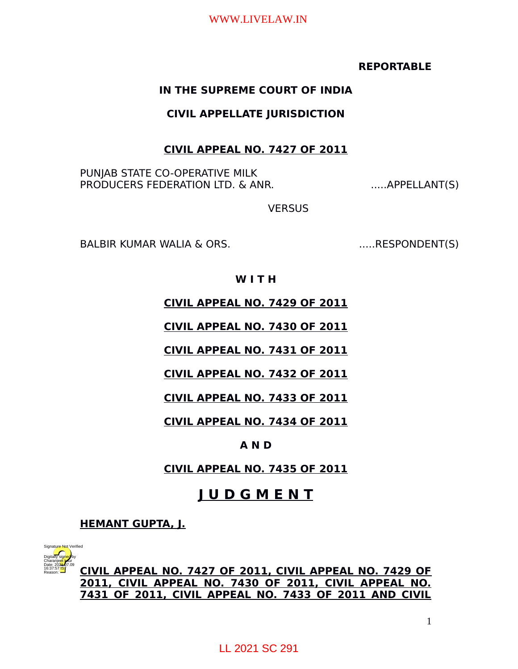## **REPORTABLE**

## **IN THE SUPREME COURT OF INDIA**

## **CIVIL APPELLATE JURISDICTION**

## **CIVIL APPEAL NO. 7427 OF 2011**

PUNJAB STATE CO-OPERATIVE MILK PRODUCERS FEDERATION LTD. & ANR. .....APPELLANT(S)

**VERSUS** 

BALBIR KUMAR WALIA & ORS. .....RESPONDENT(S)

## **W I T H**

**CIVIL APPEAL NO. 7429 OF 2011**

**CIVIL APPEAL NO. 7430 OF 2011**

**CIVIL APPEAL NO. 7431 OF 2011**

**CIVIL APPEAL NO. 7432 OF 2011**

**CIVIL APPEAL NO. 7433 OF 2011**

**CIVIL APPEAL NO. 7434 OF 2011**

## **A N D**

**CIVIL APPEAL NO. 7435 OF 2011**

## **J U D G M E N T**

**HEMANT GUPTA, J.**



**CIVIL APPEAL NO. 7427 OF 2011, CIVIL APPEAL NO. 7429 OF 2011, CIVIL APPEAL NO. 7430 OF 2011, CIVIL APPEAL NO. 7431 OF 2011, CIVIL APPEAL NO. 7433 OF 2011 AND CIVIL** Digitally signed by **CIVIL APPEAL NO. 7427 OF 2011, CIVI**<br>
PARAGON **2011, CIVIL APPEAL NO. 7430 OF 20**<br> **2011, CIVIL APPEAL NO. 7430 OF 20**<br> **2011 OF 2011, CIVIL APPEAL NO. 74.**<br>
LL 2021 SC 291

1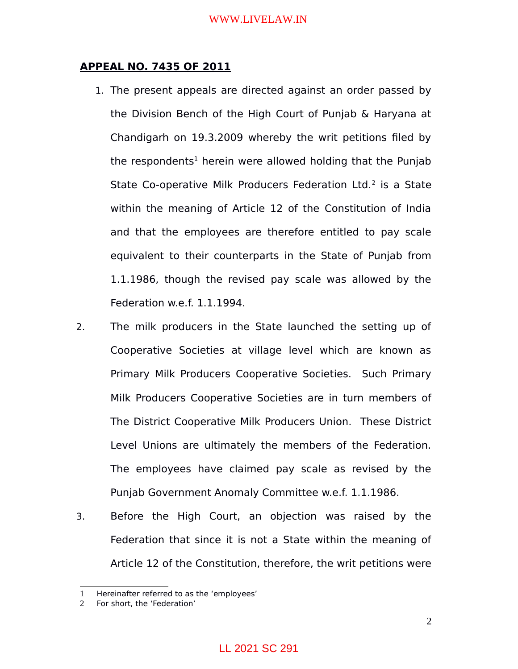### **APPEAL NO. 7435 OF 2011**

- 1. The present appeals are directed against an order passed by the Division Bench of the High Court of Punjab & Haryana at Chandigarh on 19.3.2009 whereby the writ petitions filed by the respondents<sup>[1](#page-1-0)</sup> herein were allowed holding that the Punjab State Co-operative Milk Producers Federation Ltd. $2$  is a State within the meaning of Article 12 of the Constitution of India and that the employees are therefore entitled to pay scale equivalent to their counterparts in the State of Punjab from 1.1.1986, though the revised pay scale was allowed by the Federation w.e.f. 1.1.1994.
- 2. The milk producers in the State launched the setting up of Cooperative Societies at village level which are known as Primary Milk Producers Cooperative Societies. Such Primary Milk Producers Cooperative Societies are in turn members of The District Cooperative Milk Producers Union. These District Level Unions are ultimately the members of the Federation. The employees have claimed pay scale as revised by the Punjab Government Anomaly Committee w.e.f. 1.1.1986.
- 3. Before the High Court, an objection was raised by the Federation that since it is not a State within the meaning of Article 12 of the Constitution, therefore, the writ petitions were

<span id="page-1-0"></span><sup>1</sup> Hereinafter referred to as the 'employees'

<span id="page-1-1"></span><sup>2</sup> For short, the 'Federation'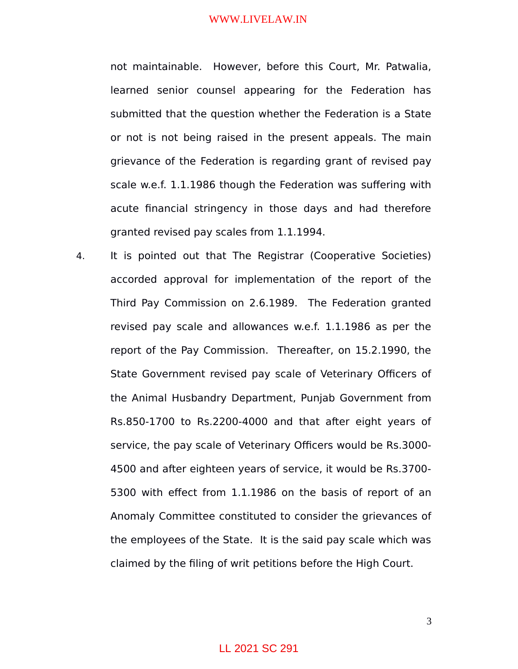not maintainable. However, before this Court, Mr. Patwalia, learned senior counsel appearing for the Federation has submitted that the question whether the Federation is a State or not is not being raised in the present appeals. The main grievance of the Federation is regarding grant of revised pay scale w.e.f. 1.1.1986 though the Federation was suffering with acute financial stringency in those days and had therefore granted revised pay scales from 1.1.1994.

4. It is pointed out that The Registrar (Cooperative Societies) accorded approval for implementation of the report of the Third Pay Commission on 2.6.1989. The Federation granted revised pay scale and allowances w.e.f. 1.1.1986 as per the report of the Pay Commission. Thereafter, on 15.2.1990, the State Government revised pay scale of Veterinary Officers of the Animal Husbandry Department, Punjab Government from Rs.850-1700 to Rs.2200-4000 and that after eight years of service, the pay scale of Veterinary Officers would be Rs.3000- 4500 and after eighteen years of service, it would be Rs.3700- 5300 with effect from 1.1.1986 on the basis of report of an Anomaly Committee constituted to consider the grievances of the employees of the State. It is the said pay scale which was claimed by the filing of writ petitions before the High Court.

3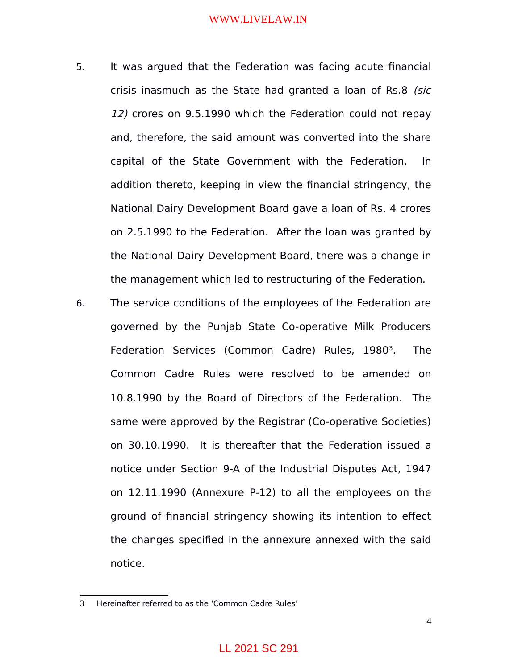- 5. It was argued that the Federation was facing acute financial crisis inasmuch as the State had granted a loan of Rs.8 (sic 12) crores on 9.5.1990 which the Federation could not repay and, therefore, the said amount was converted into the share capital of the State Government with the Federation. In addition thereto, keeping in view the financial stringency, the National Dairy Development Board gave a loan of Rs. 4 crores on 2.5.1990 to the Federation. After the loan was granted by the National Dairy Development Board, there was a change in the management which led to restructuring of the Federation.
- 6. The service conditions of the employees of the Federation are governed by the Punjab State Co-operative Milk Producers Federation Services (Common Cadre) Rules, 1980<sup>[3](#page-3-0)</sup>. . The Common Cadre Rules were resolved to be amended on 10.8.1990 by the Board of Directors of the Federation. The same were approved by the Registrar (Co-operative Societies) on 30.10.1990. It is thereafter that the Federation issued a notice under Section 9-A of the Industrial Disputes Act, 1947 on 12.11.1990 (Annexure P-12) to all the employees on the ground of financial stringency showing its intention to effect the changes specified in the annexure annexed with the said notice.

<span id="page-3-0"></span><sup>3</sup> Hereinafter referred to as the 'Common Cadre Rules'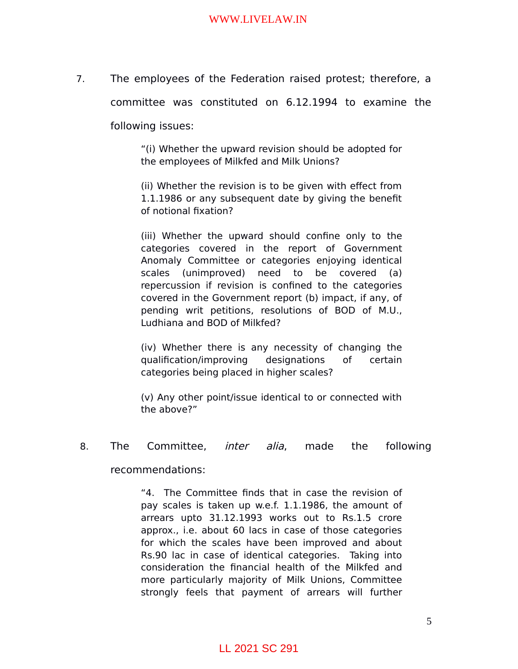7. The employees of the Federation raised protest; therefore, a

committee was constituted on 6.12.1994 to examine the

following issues:

"(i) Whether the upward revision should be adopted for the employees of Milkfed and Milk Unions?

(ii) Whether the revision is to be given with effect from 1.1.1986 or any subsequent date by giving the benefit of notional fixation?

(iii) Whether the upward should confine only to the categories covered in the report of Government Anomaly Committee or categories enjoying identical scales (unimproved) need to be covered (a) repercussion if revision is confined to the categories covered in the Government report (b) impact, if any, of pending writ petitions, resolutions of BOD of M.U., Ludhiana and BOD of Milkfed?

(iv) Whether there is any necessity of changing the qualification/improving designations of certain categories being placed in higher scales?

(v) Any other point/issue identical to or connected with the above?"

8. The Committee, inter alia, made the following

recommendations:

"4. The Committee finds that in case the revision of pay scales is taken up w.e.f. 1.1.1986, the amount of arrears upto 31.12.1993 works out to Rs.1.5 crore approx., i.e. about 60 lacs in case of those categories for which the scales have been improved and about Rs.90 lac in case of identical categories. Taking into consideration the financial health of the Milkfed and more particularly majority of Milk Unions, Committee strongly feels that payment of arrears will further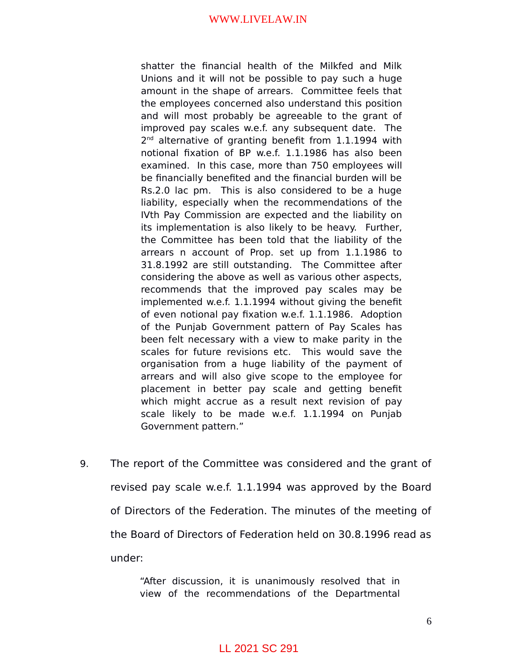shatter the financial health of the Milkfed and Milk Unions and it will not be possible to pay such a huge amount in the shape of arrears. Committee feels that the employees concerned also understand this position and will most probably be agreeable to the grant of improved pay scales w.e.f. any subsequent date. The 2<sup>nd</sup> alternative of granting benefit from 1.1.1994 with notional fixation of BP w.e.f. 1.1.1986 has also been examined. In this case, more than 750 employees will be financially benefited and the financial burden will be Rs.2.0 lac pm. This is also considered to be a huge liability, especially when the recommendations of the IVth Pay Commission are expected and the liability on its implementation is also likely to be heavy. Further, the Committee has been told that the liability of the arrears n account of Prop. set up from 1.1.1986 to 31.8.1992 are still outstanding. The Committee after considering the above as well as various other aspects, recommends that the improved pay scales may be implemented w.e.f. 1.1.1994 without giving the benefit of even notional pay fixation w.e.f. 1.1.1986. Adoption of the Punjab Government pattern of Pay Scales has been felt necessary with a view to make parity in the scales for future revisions etc. This would save the organisation from a huge liability of the payment of arrears and will also give scope to the employee for placement in better pay scale and getting benefit which might accrue as a result next revision of pay scale likely to be made w.e.f. 1.1.1994 on Punjab Government pattern."

9. The report of the Committee was considered and the grant of revised pay scale w.e.f. 1.1.1994 was approved by the Board of Directors of the Federation. The minutes of the meeting of the Board of Directors of Federation held on 30.8.1996 read as under:

> "After discussion, it is unanimously resolved that in view of the recommendations of the Departmental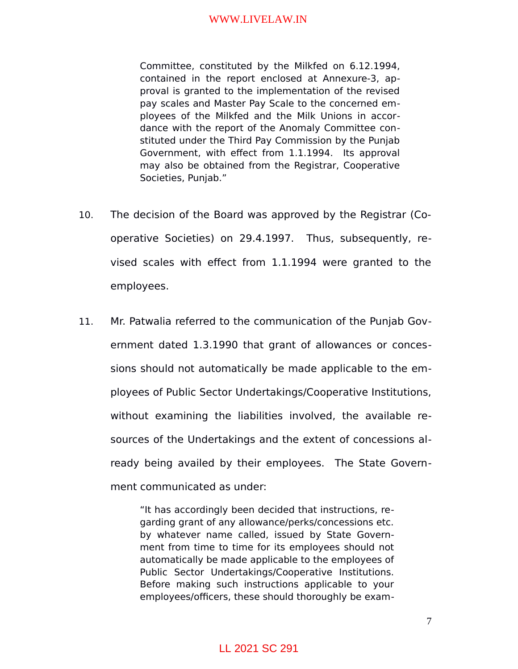Committee, constituted by the Milkfed on 6.12.1994, contained in the report enclosed at Annexure-3, approval is granted to the implementation of the revised pay scales and Master Pay Scale to the concerned employees of the Milkfed and the Milk Unions in accordance with the report of the Anomaly Committee constituted under the Third Pay Commission by the Punjab Government, with effect from 1.1.1994. Its approval may also be obtained from the Registrar, Cooperative Societies, Punjab."

- 10. The decision of the Board was approved by the Registrar (Cooperative Societies) on 29.4.1997. Thus, subsequently, revised scales with effect from 1.1.1994 were granted to the employees.
- 11. Mr. Patwalia referred to the communication of the Punjab Government dated 1.3.1990 that grant of allowances or concessions should not automatically be made applicable to the employees of Public Sector Undertakings/Cooperative Institutions, without examining the liabilities involved, the available resources of the Undertakings and the extent of concessions already being availed by their employees. The State Government communicated as under:

"It has accordingly been decided that instructions, regarding grant of any allowance/perks/concessions etc. by whatever name called, issued by State Government from time to time for its employees should not automatically be made applicable to the employees of Public Sector Undertakings/Cooperative Institutions. Before making such instructions applicable to your employees/officers, these should thoroughly be exam-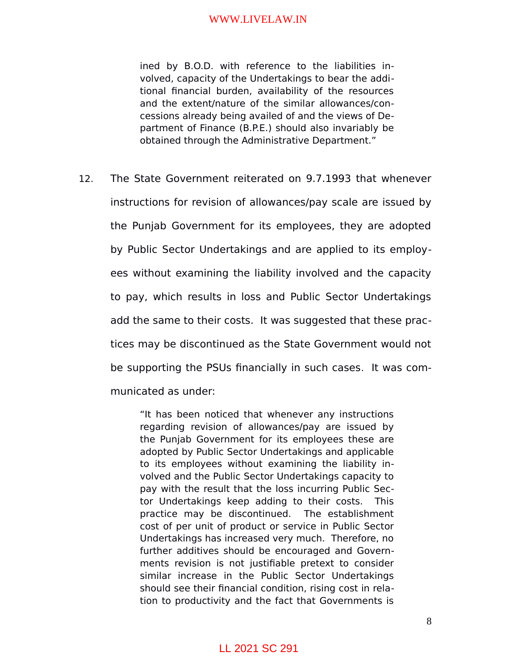ined by B.O.D. with reference to the liabilities involved, capacity of the Undertakings to bear the additional financial burden, availability of the resources and the extent/nature of the similar allowances/concessions already being availed of and the views of Department of Finance (B.P.E.) should also invariably be obtained through the Administrative Department."

12. The State Government reiterated on 9.7.1993 that whenever instructions for revision of allowances/pay scale are issued by the Punjab Government for its employees, they are adopted by Public Sector Undertakings and are applied to its employees without examining the liability involved and the capacity to pay, which results in loss and Public Sector Undertakings add the same to their costs. It was suggested that these practices may be discontinued as the State Government would not be supporting the PSUs financially in such cases. It was communicated as under:

> "It has been noticed that whenever any instructions regarding revision of allowances/pay are issued by the Punjab Government for its employees these are adopted by Public Sector Undertakings and applicable to its employees without examining the liability involved and the Public Sector Undertakings capacity to pay with the result that the loss incurring Public Sector Undertakings keep adding to their costs. This practice may be discontinued. The establishment cost of per unit of product or service in Public Sector Undertakings has increased very much. Therefore, no further additives should be encouraged and Governments revision is not justifiable pretext to consider similar increase in the Public Sector Undertakings should see their financial condition, rising cost in relation to productivity and the fact that Governments is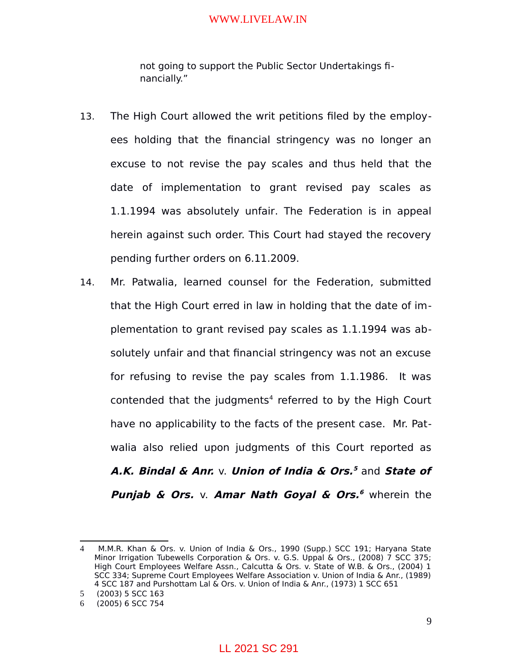not going to support the Public Sector Undertakings financially."

- 13. The High Court allowed the writ petitions filed by the employees holding that the financial stringency was no longer an excuse to not revise the pay scales and thus held that the date of implementation to grant revised pay scales as 1.1.1994 was absolutely unfair. The Federation is in appeal herein against such order. This Court had stayed the recovery pending further orders on 6.11.2009.
- 14. Mr. Patwalia, learned counsel for the Federation, submitted that the High Court erred in law in holding that the date of implementation to grant revised pay scales as 1.1.1994 was absolutely unfair and that financial stringency was not an excuse for refusing to revise the pay scales from 1.1.1986. It was contended that the judgments $4$  referred to by the High Court have no applicability to the facts of the present case. Mr. Patwalia also relied upon judgments of this Court reported as **A.K. Bindal & Anr.** v. **Union of India & Ors. [5](#page-8-1)** and **State of Punjab & Ors.** v. **Amar Nath Goyal & Ors. [6](#page-8-2)** wherein the

<span id="page-8-0"></span><sup>4</sup> M.M.R. Khan & Ors. v. Union of India & Ors., 1990 (Supp.) SCC 191; Haryana State Minor Irrigation Tubewells Corporation & Ors. v. G.S. Uppal & Ors., (2008) 7 SCC 375; High Court Employees Welfare Assn., Calcutta & Ors. v. State of W.B. & Ors., (2004) 1 SCC 334; Supreme Court Employees Welfare Association v. Union of India & Anr., (1989) 4 SCC 187 and Purshottam Lal & Ors. v. Union of India & Anr., (1973) 1 SCC 651

<span id="page-8-1"></span><sup>5</sup> (2003) 5 SCC 163

<span id="page-8-2"></span><sup>6</sup> (2005) 6 SCC 754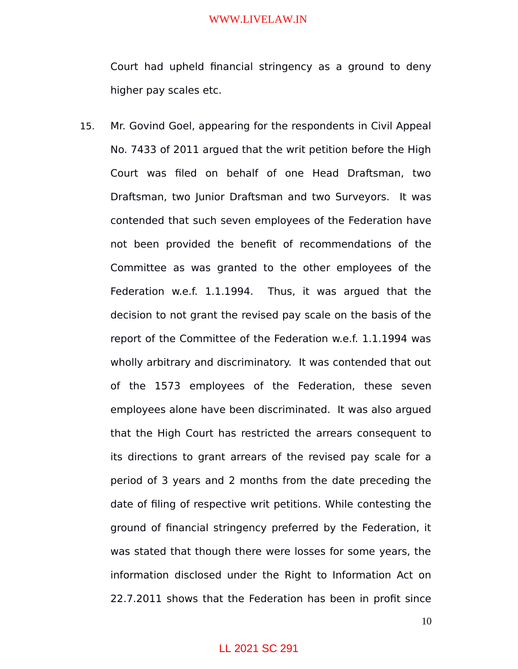Court had upheld financial stringency as a ground to deny higher pay scales etc.

15. Mr. Govind Goel, appearing for the respondents in Civil Appeal No. 7433 of 2011 argued that the writ petition before the High Court was filed on behalf of one Head Draftsman, two Draftsman, two Junior Draftsman and two Surveyors. It was contended that such seven employees of the Federation have not been provided the benefit of recommendations of the Committee as was granted to the other employees of the Federation w.e.f. 1.1.1994. Thus, it was argued that the decision to not grant the revised pay scale on the basis of the report of the Committee of the Federation w.e.f. 1.1.1994 was wholly arbitrary and discriminatory. It was contended that out of the 1573 employees of the Federation, these seven employees alone have been discriminated. It was also argued that the High Court has restricted the arrears consequent to its directions to grant arrears of the revised pay scale for a period of 3 years and 2 months from the date preceding the date of filing of respective writ petitions. While contesting the ground of financial stringency preferred by the Federation, it was stated that though there were losses for some years, the information disclosed under the Right to Information Act on 22.7.2011 shows that the Federation has been in profit since

### 10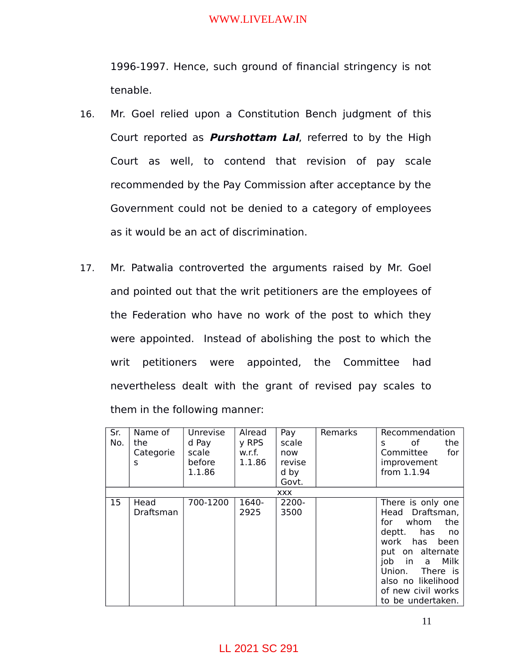1996-1997. Hence, such ground of financial stringency is not tenable.

- 16. Mr. Goel relied upon a Constitution Bench judgment of this Court reported as **Purshottam Lal**, referred to by the High Court as well, to contend that revision of pay scale recommended by the Pay Commission after acceptance by the Government could not be denied to a category of employees as it would be an act of discrimination.
- 17. Mr. Patwalia controverted the arguments raised by Mr. Goel and pointed out that the writ petitioners are the employees of the Federation who have no work of the post to which they were appointed. Instead of abolishing the post to which the writ petitioners were appointed, the Committee had nevertheless dealt with the grant of revised pay scales to them in the following manner:

| Sr. | Name of           | Unrevise | Alread        | Pay           | Remarks | Recommendation                                                                                                                                                                                                                       |
|-----|-------------------|----------|---------------|---------------|---------|--------------------------------------------------------------------------------------------------------------------------------------------------------------------------------------------------------------------------------------|
| No. | the               | d Pay    | y RPS         | scale         |         | of<br>the<br>S                                                                                                                                                                                                                       |
|     | Categorie         | scale    | w.r.f.        | now           |         | Committee<br>for                                                                                                                                                                                                                     |
|     | S                 | before   | 1.1.86        | revise        |         | improvement                                                                                                                                                                                                                          |
|     |                   | 1.1.86   |               | d by          |         | from 1.1.94                                                                                                                                                                                                                          |
|     |                   |          |               | Govt.         |         |                                                                                                                                                                                                                                      |
|     |                   |          |               | <b>XXX</b>    |         |                                                                                                                                                                                                                                      |
| 15  | Head<br>Draftsman | 700-1200 | 1640-<br>2925 | 2200-<br>3500 |         | There is only one<br>Head Draftsman,<br>whom<br>the<br>for<br>deptt.<br>has<br>no<br>work has been<br>put on alternate<br>Milk<br>job<br>in a<br>Union.<br>There is<br>also no likelihood<br>of new civil works<br>to be undertaken. |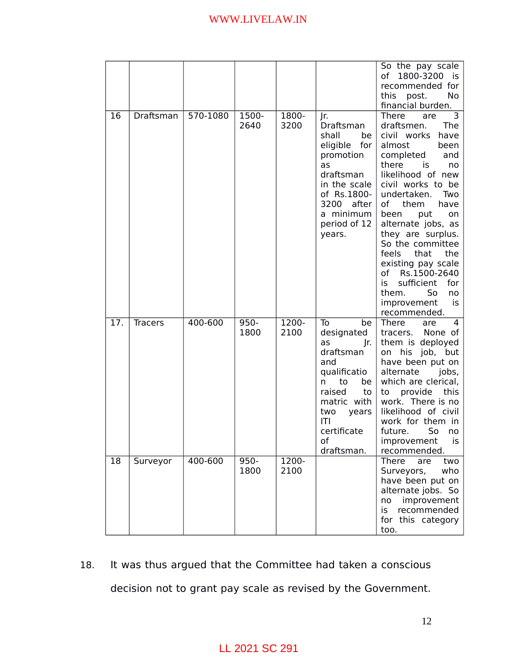|     |                |          |               |               |                                                                                                                                                                                   | So the pay scale<br>1800-3200<br>of<br>İS.<br>recommended for<br>this<br>No<br>post.<br>financial burden.                                                                                                                                                                                                                                                                                                                                                |
|-----|----------------|----------|---------------|---------------|-----------------------------------------------------------------------------------------------------------------------------------------------------------------------------------|----------------------------------------------------------------------------------------------------------------------------------------------------------------------------------------------------------------------------------------------------------------------------------------------------------------------------------------------------------------------------------------------------------------------------------------------------------|
| 16  | Draftsman      | 570-1080 | 1500-<br>2640 | 1800-<br>3200 | Jr.<br>Draftsman<br>shall<br>be<br>eligible for<br>promotion<br>as<br>draftsman<br>in the scale<br>of Rs.1800-<br>3200<br>after<br>a minimum<br>period of 12<br>years.            | There<br>3<br>are<br>draftsmen.<br>The<br>civil works<br>have<br>almost<br>been<br>completed<br>and<br>there<br>is<br>no<br>likelihood of new<br>civil works to be<br>undertaken.<br>Two<br>of<br>them<br>have<br>been<br>put<br>on<br>alternate jobs, as<br>they are surplus.<br>So the committee<br>feels<br>that<br>the<br>existing pay scale<br>of Rs.1500-2640<br>sufficient<br>for<br>is<br>them.<br>So<br>no<br>improvement<br>is<br>recommended. |
| 17. | <b>Tracers</b> | 400-600  | 950-<br>1800  | 1200-<br>2100 | To<br>be<br>designated<br>as<br>Jr.<br>draftsman<br>and<br>qualificatio<br>be<br>to<br>n<br>raised<br>to<br>matric with<br>two<br>years<br>IТI<br>certificate<br>of<br>draftsman. | There<br>4<br>are<br>None of<br>tracers.<br>them is deployed<br>on his job, but<br>have been put on<br>alternate<br>jobs,<br>which are clerical,<br>provide<br>this<br>to<br>work. There is no<br>likelihood of civil<br>work for them in<br>future.<br>So<br>no<br>is<br>improvement<br>recommended.                                                                                                                                                    |
| 18  | Surveyor       | 400-600  | 950-<br>1800  | 1200-<br>2100 |                                                                                                                                                                                   | <b>There</b><br>are<br>two<br>Surveyors,<br>who<br>have been put on<br>alternate jobs. So<br>improvement<br>no<br>recommended<br>is<br>for this category<br>too.                                                                                                                                                                                                                                                                                         |

# 18. It was thus argued that the Committee had taken a conscious decision not to grant pay scale as revised by the Government.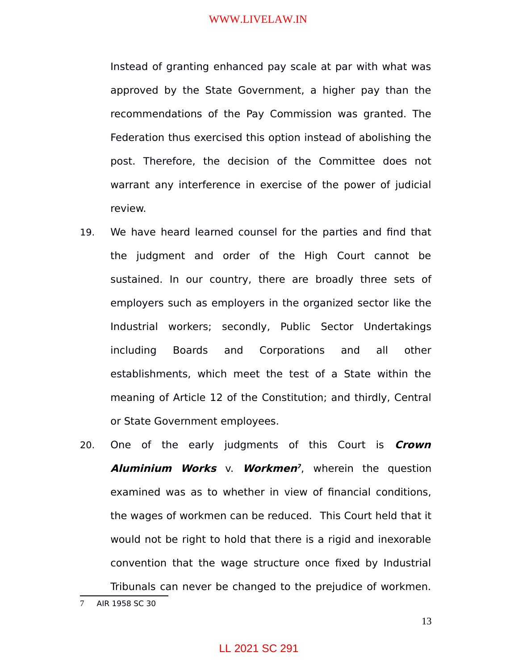Instead of granting enhanced pay scale at par with what was approved by the State Government, a higher pay than the recommendations of the Pay Commission was granted. The Federation thus exercised this option instead of abolishing the post. Therefore, the decision of the Committee does not warrant any interference in exercise of the power of judicial review.

- 19. We have heard learned counsel for the parties and find that the judgment and order of the High Court cannot be sustained. In our country, there are broadly three sets of employers such as employers in the organized sector like the Industrial workers; secondly, Public Sector Undertakings including Boards and Corporations and all other establishments, which meet the test of a State within the meaning of Article 12 of the Constitution; and thirdly, Central or State Government employees.
- 20. One of the early judgments of this Court is **Crown Aluminium Works** v. **Workmen [7](#page-12-0)** , wherein the question examined was as to whether in view of financial conditions, the wages of workmen can be reduced.This Court held that it would not be right to hold that there is a rigid and inexorable convention that the wage structure once fixed by Industrial Tribunals can never be changed to the prejudice of workmen.

13

<span id="page-12-0"></span><sup>7</sup> AIR 1958 SC 30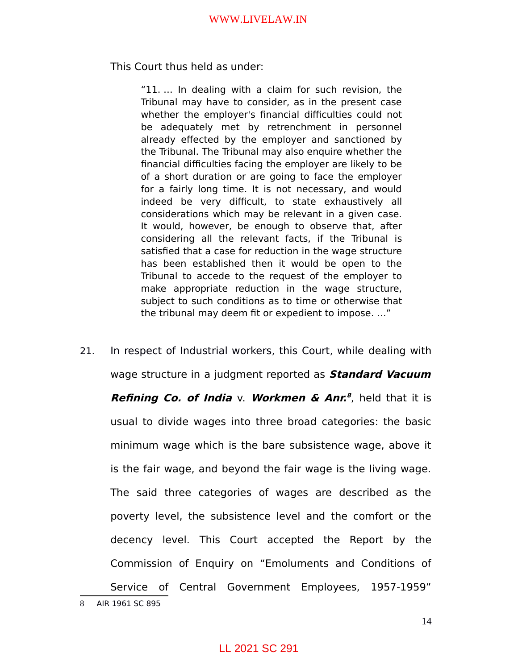This Court thus held as under:

"11. … In dealing with a claim for such revision, the Tribunal may have to consider, as in the present case whether the employer's financial difficulties could not be adequately met by retrenchment in personnel already effected by the employer and sanctioned by the Tribunal. The Tribunal may also enquire whether the financial difficulties facing the employer are likely to be of a short duration or are going to face the employer for a fairly long time. It is not necessary, and would indeed be very difficult, to state exhaustively all considerations which may be relevant in a given case. It would, however, be enough to observe that, after considering all the relevant facts, if the Tribunal is satisfied that a case for reduction in the wage structure has been established then it would be open to the Tribunal to accede to the request of the employer to make appropriate reduction in the wage structure, subject to such conditions as to time or otherwise that the tribunal may deem fit or expedient to impose. …"

21. In respect of Industrial workers, this Court, while dealing with wage structure in a judgment reported as **Standard Vacuum Refining Co. of India** v. **Workmen & Anr. [8](#page-13-0)** , held that it is usual to divide wages into three broad categories: the basic minimum wage which is the bare subsistence wage, above it is the fair wage, and beyond the fair wage is the living wage. The said three categories of wages are described as the poverty level, the subsistence level and the comfort or the decency level. This Court accepted the Report by the Commission of Enquiry on "Emoluments and Conditions of Service of Central Government Employees, 1957-1959"

<span id="page-13-0"></span><sup>8</sup> AIR 1961 SC 895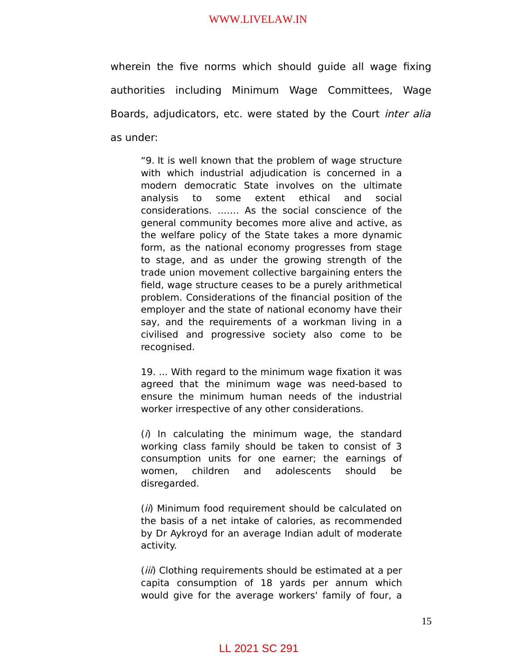wherein the five norms which should guide all wage fixing authorities including Minimum Wage Committees, Wage Boards, adjudicators, etc. were stated by the Court *inter alia* as under:

"9. It is well known that the problem of wage structure with which industrial adjudication is concerned in a modern democratic State involves on the ultimate analysis to some extent ethical and social considerations. ……. As the social conscience of the general community becomes more alive and active, as the welfare policy of the State takes a more dynamic form, as the national economy progresses from stage to stage, and as under the growing strength of the trade union movement collective bargaining enters the field, wage structure ceases to be a purely arithmetical problem. Considerations of the financial position of the employer and the state of national economy have their say, and the requirements of a workman living in a civilised and progressive society also come to be recognised.

19. ... With regard to the minimum wage fixation it was agreed that the minimum wage was need-based to ensure the minimum human needs of the industrial worker irrespective of any other considerations.

 $(i)$  In calculating the minimum wage, the standard working class family should be taken to consist of 3 consumption units for one earner; the earnings of women, children and adolescents should be disregarded.

(*ii*) Minimum food requirement should be calculated on the basis of a net intake of calories, as recommended by Dr Aykroyd for an average Indian adult of moderate activity.

(*iii*) Clothing requirements should be estimated at a per capita consumption of 18 yards per annum which would give for the average workers' family of four, a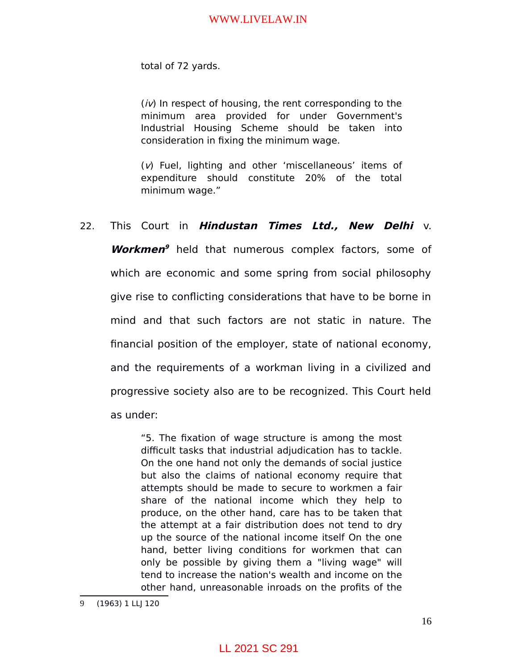total of 72 yards.

 $(iv)$  In respect of housing, the rent corresponding to the minimum area provided for under Government's Industrial Housing Scheme should be taken into consideration in fixing the minimum wage.

(v) Fuel, lighting and other 'miscellaneous' items of expenditure should constitute 20% of the total minimum wage."

### 22. This Court in **Hindustan Times Ltd., New Delhi** v.

**Workmen [9](#page-15-0)** held that numerous complex factors, some of which are economic and some spring from social philosophy give rise to conflicting considerations that have to be borne in mind and that such factors are not static in nature. The financial position of the employer, state of national economy, and the requirements of a workman living in a civilized and progressive society also are to be recognized. This Court held as under:

"5. The fixation of wage structure is among the most difficult tasks that industrial adjudication has to tackle. On the one hand not only the demands of social justice but also the claims of national economy require that attempts should be made to secure to workmen a fair share of the national income which they help to produce, on the other hand, care has to be taken that the attempt at a fair distribution does not tend to dry up the source of the national income itself On the one hand, better living conditions for workmen that can only be possible by giving them a "living wage" will tend to increase the nation's wealth and income on the other hand, unreasonable inroads on the profits of the

<span id="page-15-0"></span><sup>9</sup> (1963) 1 LLJ 120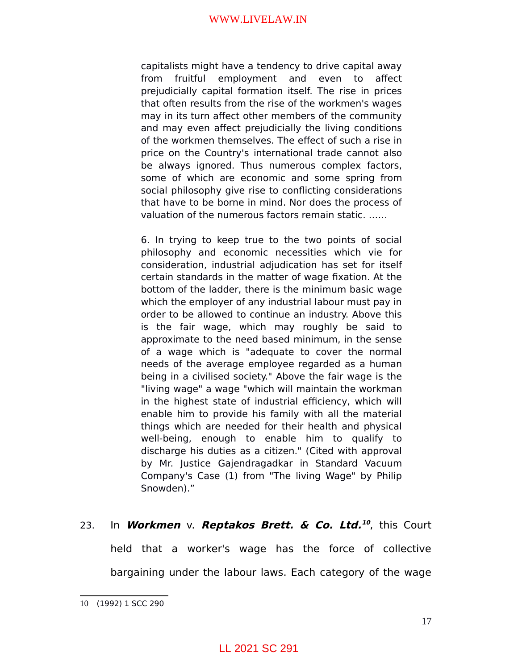capitalists might have a tendency to drive capital away from fruitful employment and even to affect prejudicially capital formation itself. The rise in prices that often results from the rise of the workmen's wages may in its turn affect other members of the community and may even affect prejudicially the living conditions of the workmen themselves. The effect of such a rise in price on the Country's international trade cannot also be always ignored. Thus numerous complex factors, some of which are economic and some spring from social philosophy give rise to conflicting considerations that have to be borne in mind. Nor does the process of valuation of the numerous factors remain static. ……

6. In trying to keep true to the two points of social philosophy and economic necessities which vie for consideration, industrial adjudication has set for itself certain standards in the matter of wage fixation. At the bottom of the ladder, there is the minimum basic wage which the employer of any industrial labour must pay in order to be allowed to continue an industry. Above this is the fair wage, which may roughly be said to approximate to the need based minimum, in the sense of a wage which is "adequate to cover the normal needs of the average employee regarded as a human being in a civilised society." Above the fair wage is the "living wage" a wage "which will maintain the workman in the highest state of industrial efficiency, which will enable him to provide his family with all the material things which are needed for their health and physical well-being, enough to enable him to qualify to discharge his duties as a citizen." (Cited with approval by Mr. Justice Gajendragadkar in Standard Vacuum Company's Case (1) from "The living Wage" by Philip Snowden)."

### 23. In **Workmen** v. **Reptakos Brett. & Co. Ltd. [10](#page-16-0)** , this Court

held that a worker's wage has the force of collective bargaining under the labour laws. Each category of the wage

<span id="page-16-0"></span><sup>10</sup> (1992) 1 SCC 290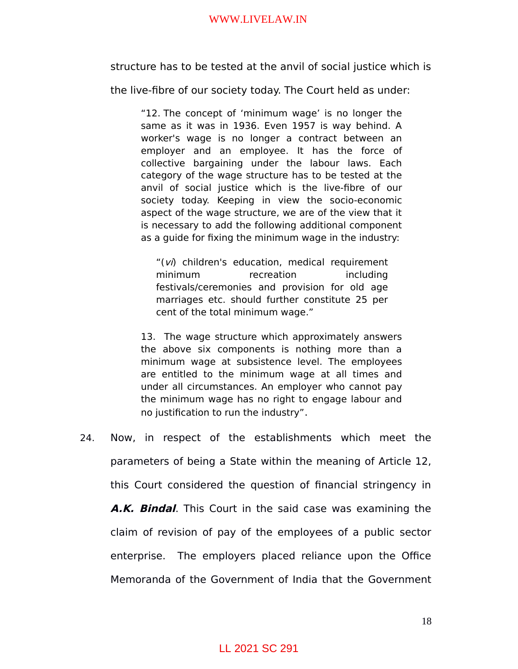structure has to be tested at the anvil of social justice which is

the live-fibre of our society today. The Court held as under:

"12. The concept of 'minimum wage' is no longer the same as it was in 1936. Even 1957 is way behind. A worker's wage is no longer a contract between an employer and an employee. It has the force of collective bargaining under the labour laws. Each category of the wage structure has to be tested at the anvil of social justice which is the live-fibre of our society today. Keeping in view the socio-economic aspect of the wage structure, we are of the view that it is necessary to add the following additional component as a guide for fixing the minimum wage in the industry:

"(vi) children's education, medical requirement minimum recreation including festivals/ceremonies and provision for old age marriages etc. should further constitute 25 per cent of the total minimum wage."

13. The wage structure which approximately answers the above six components is nothing more than a minimum wage at subsistence level. The employees are entitled to the minimum wage at all times and under all circumstances. An employer who cannot pay the minimum wage has no right to engage labour and no justification to run the industry".

24. Now, in respect of the establishments which meet the parameters of being a State within the meaning of Article 12, this Court considered the question of financial stringency in **A.K. Bindal**. This Court in the said case was examining the claim of revision of pay of the employees of a public sector enterprise. The employers placed reliance upon the Office Memoranda of the Government of India that the Government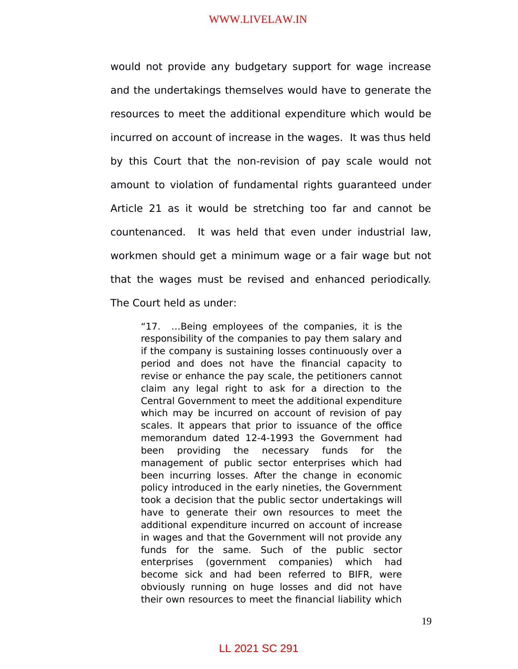would not provide any budgetary support for wage increase and the undertakings themselves would have to generate the resources to meet the additional expenditure which would be incurred on account of increase in the wages. It was thus held by this Court that the non-revision of pay scale would not amount to violation of fundamental rights guaranteed under Article 21 as it would be stretching too far and cannot be countenanced. It was held that even under industrial law, workmen should get a minimum wage or a fair wage but not that the wages must be revised and enhanced periodically. The Court held as under:

"17. …Being employees of the companies, it is the responsibility of the companies to pay them salary and if the company is sustaining losses continuously over a period and does not have the financial capacity to revise or enhance the pay scale, the petitioners cannot claim any legal right to ask for a direction to the Central Government to meet the additional expenditure which may be incurred on account of revision of pay scales. It appears that prior to issuance of the office memorandum dated 12-4-1993 the Government had been providing the necessary funds for the management of public sector enterprises which had been incurring losses. After the change in economic policy introduced in the early nineties, the Government took a decision that the public sector undertakings will have to generate their own resources to meet the additional expenditure incurred on account of increase in wages and that the Government will not provide any funds for the same. Such of the public sector enterprises (government companies) which had become sick and had been referred to BIFR, were obviously running on huge losses and did not have their own resources to meet the financial liability which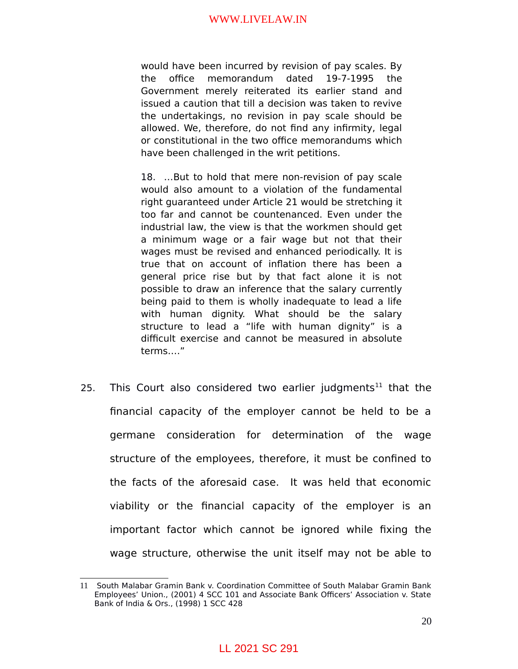would have been incurred by revision of pay scales. By the office memorandum dated 19-7-1995 the Government merely reiterated its earlier stand and issued a caution that till a decision was taken to revive the undertakings, no revision in pay scale should be allowed. We, therefore, do not find any infirmity, legal or constitutional in the two office memorandums which have been challenged in the writ petitions.

18. …But to hold that mere non-revision of pay scale would also amount to a violation of the fundamental right guaranteed under Article 21 would be stretching it too far and cannot be countenanced. Even under the industrial law, the view is that the workmen should get a minimum wage or a fair wage but not that their wages must be revised and enhanced periodically. It is true that on account of inflation there has been a general price rise but by that fact alone it is not possible to draw an inference that the salary currently being paid to them is wholly inadequate to lead a life with human dignity. What should be the salary structure to lead a "life with human dignity" is a difficult exercise and cannot be measured in absolute terms…."

25. This Court also considered two earlier judgments<sup>[11](#page-19-0)</sup> that the financial capacity of the employer cannot be held to be a germane consideration for determination of the wage structure of the employees, therefore, it must be confined to the facts of the aforesaid case. It was held that economic viability or the financial capacity of the employer is an important factor which cannot be ignored while fixing the wage structure, otherwise the unit itself may not be able to

<span id="page-19-0"></span><sup>11</sup> South Malabar Gramin Bank v. Coordination Committee of South Malabar Gramin Bank Employees' Union., (2001) 4 SCC 101 and Associate Bank Officers' Association v. State Bank of India & Ors., (1998) 1 SCC 428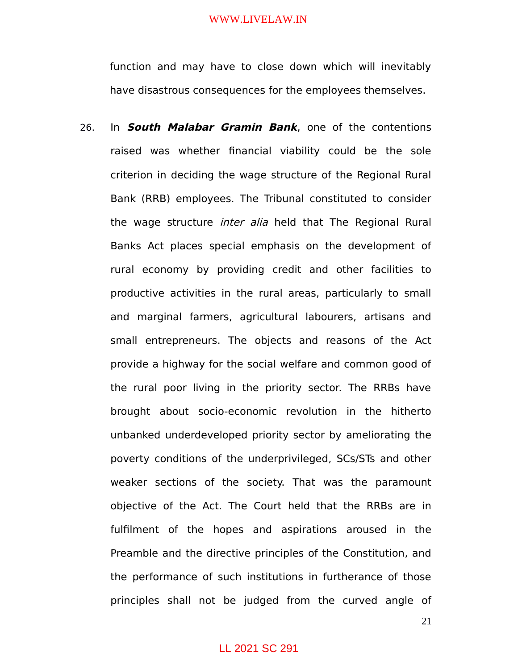function and may have to close down which will inevitably have disastrous consequences for the employees themselves.

26. In **South Malabar Gramin Bank**, one of the contentions raised was whether financial viability could be the sole criterion in deciding the wage structure of the Regional Rural Bank (RRB) employees. The Tribunal constituted to consider the wage structure *inter alia* held that The Regional Rural Banks Act places special emphasis on the development of rural economy by providing credit and other facilities to productive activities in the rural areas, particularly to small and marginal farmers, agricultural labourers, artisans and small entrepreneurs. The objects and reasons of the Act provide a highway for the social welfare and common good of the rural poor living in the priority sector. The RRBs have brought about socio-economic revolution in the hitherto unbanked underdeveloped priority sector by ameliorating the poverty conditions of the underprivileged, SCs/STs and other weaker sections of the society. That was the paramount objective of the Act. The Court held that the RRBs are in fulfilment of the hopes and aspirations aroused in the Preamble and the directive principles of the Constitution, and the performance of such institutions in furtherance of those principles shall not be judged from the curved angle of

21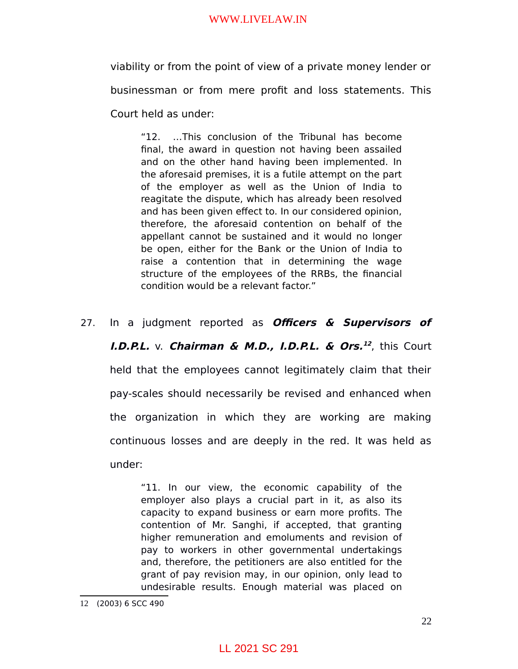viability or from the point of view of a private money lender or businessman or from mere profit and loss statements. This Court held as under:

"12. …This conclusion of the Tribunal has become final, the award in question not having been assailed and on the other hand having been implemented. In the aforesaid premises, it is a futile attempt on the part of the employer as well as the Union of India to reagitate the dispute, which has already been resolved and has been given effect to. In our considered opinion, therefore, the aforesaid contention on behalf of the appellant cannot be sustained and it would no longer be open, either for the Bank or the Union of India to raise a contention that in determining the wage structure of the employees of the RRBs, the financial condition would be a relevant factor."

27. In a judgment reported as **Officers & Supervisors of I.D.P.L.** v. **Chairman & M.D., I.D.P.L. & Ors. [12](#page-21-0)** , this Court held that the employees cannot legitimately claim that their pay-scales should necessarily be revised and enhanced when the organization in which they are working are making continuous losses and are deeply in the red. It was held as under:

> "11. In our view, the economic capability of the employer also plays a crucial part in it, as also its capacity to expand business or earn more profits. The contention of Mr. Sanghi, if accepted, that granting higher remuneration and emoluments and revision of pay to workers in other governmental undertakings and, therefore, the petitioners are also entitled for the grant of pay revision may, in our opinion, only lead to undesirable results. Enough material was placed on

<span id="page-21-0"></span><sup>12</sup> (2003) 6 SCC 490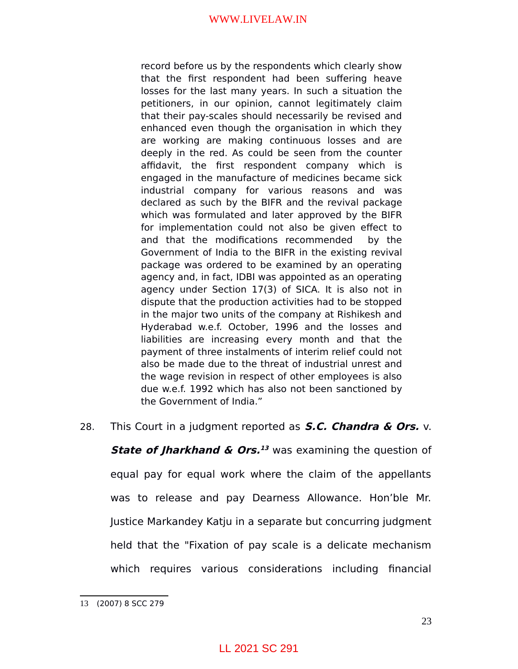record before us by the respondents which clearly show that the first respondent had been suffering heave losses for the last many years. In such a situation the petitioners, in our opinion, cannot legitimately claim that their pay-scales should necessarily be revised and enhanced even though the organisation in which they are working are making continuous losses and are deeply in the red. As could be seen from the counter affidavit, the first respondent company which is engaged in the manufacture of medicines became sick industrial company for various reasons and was declared as such by the BIFR and the revival package which was formulated and later approved by the BIFR for implementation could not also be given effect to and that the modifications recommended by the Government of India to the BIFR in the existing revival package was ordered to be examined by an operating agency and, in fact, IDBI was appointed as an operating agency under Section 17(3) of SICA. It is also not in dispute that the production activities had to be stopped in the major two units of the company at Rishikesh and Hyderabad w.e.f. October, 1996 and the losses and liabilities are increasing every month and that the payment of three instalments of interim relief could not also be made due to the threat of industrial unrest and the wage revision in respect of other employees is also due w.e.f. 1992 which has also not been sanctioned by the Government of India."

28. This Court in a judgment reported as **S.C. Chandra & Ors.** v.

**State of Jharkhand & Ors.**<sup>[13](#page-22-0)</sup> was examining the question of equal pay for equal work where the claim of the appellants was to release and pay Dearness Allowance. Hon'ble Mr. Justice Markandey Katju in a separate but concurring judgment held that the "Fixation of pay scale is a delicate mechanism which requires various considerations including financial

<span id="page-22-0"></span><sup>13</sup> (2007) 8 SCC 279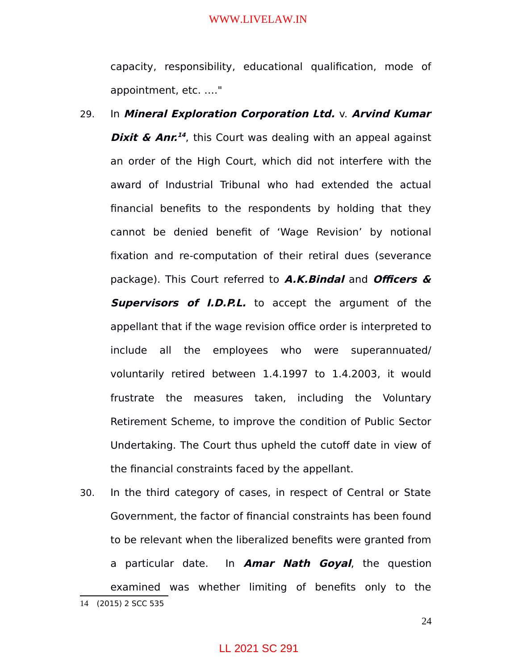capacity, responsibility, educational qualification, mode of appointment, etc. …."

- 29. In **Mineral Exploration Corporation Ltd.** v. **Arvind Kumar Dixit & Anr.**<sup>[14](#page-23-0)</sup>, this Court was dealing with an appeal against an order of the High Court, which did not interfere with the award of Industrial Tribunal who had extended the actual financial benefits to the respondents by holding that they cannot be denied benefit of 'Wage Revision' by notional fixation and re-computation of their retiral dues (severance package). This Court referred to **A.K.Bindal** and **Officers & Supervisors of** *I.D.P.L.* to accept the argument of the appellant that if the wage revision office order is interpreted to include all the employees who were superannuated/ voluntarily retired between 1.4.1997 to 1.4.2003, it would frustrate the measures taken, including the Voluntary Retirement Scheme, to improve the condition of Public Sector Undertaking. The Court thus upheld the cutoff date in view of the financial constraints faced by the appellant.
- <span id="page-23-0"></span>30. In the third category of cases, in respect of Central or State Government, the factor of financial constraints has been found to be relevant when the liberalized benefits were granted from a particular date. In **Amar Nath Goyal**, the question examined was whether limiting of benefits only to the 14 (2015) 2 SCC 535

24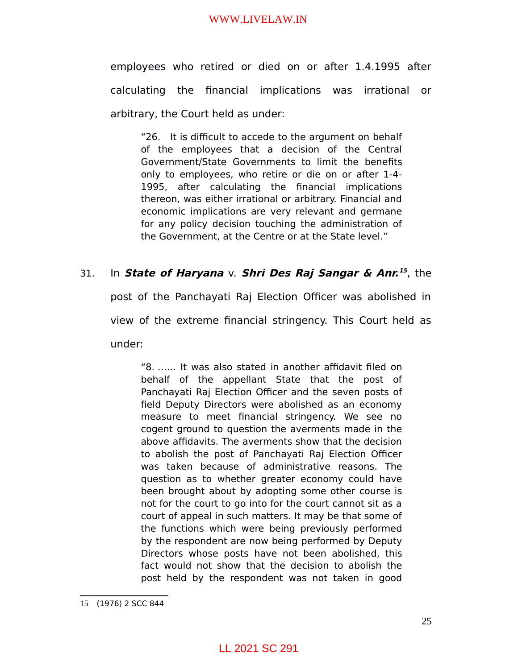employees who retired or died on or after 1.4.1995 after calculating the financial implications was irrational or arbitrary, the Court held as under:

"26. It is difficult to accede to the argument on behalf of the employees that a decision of the Central Government/State Governments to limit the benefits only to employees, who retire or die on or after 1-4- 1995, after calculating the financial implications thereon, was either irrational or arbitrary. Financial and economic implications are very relevant and germane for any policy decision touching the administration of the Government, at the Centre or at the State level."

## 31. In **State of Haryana** v. **Shri Des Raj Sangar & Anr. [15](#page-24-0)** , the

post of the Panchayati Raj Election Officer was abolished in view of the extreme financial stringency. This Court held as under:

"8. …… It was also stated in another affidavit filed on behalf of the appellant State that the post of Panchayati Raj Election Officer and the seven posts of field Deputy Directors were abolished as an economy measure to meet financial stringency. We see no cogent ground to question the averments made in the above affidavits. The averments show that the decision to abolish the post of Panchayati Raj Election Officer was taken because of administrative reasons. The question as to whether greater economy could have been brought about by adopting some other course is not for the court to go into for the court cannot sit as a court of appeal in such matters. It may be that some of the functions which were being previously performed by the respondent are now being performed by Deputy Directors whose posts have not been abolished, this fact would not show that the decision to abolish the post held by the respondent was not taken in good

<span id="page-24-0"></span><sup>15</sup> (1976) 2 SCC 844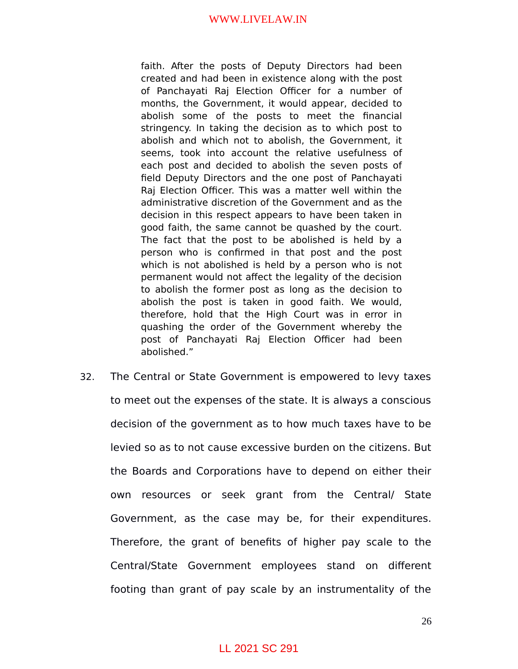faith. After the posts of Deputy Directors had been created and had been in existence along with the post of Panchayati Raj Election Officer for a number of months, the Government, it would appear, decided to abolish some of the posts to meet the financial stringency. In taking the decision as to which post to abolish and which not to abolish, the Government, it seems, took into account the relative usefulness of each post and decided to abolish the seven posts of field Deputy Directors and the one post of Panchayati Raj Election Officer. This was a matter well within the administrative discretion of the Government and as the decision in this respect appears to have been taken in good faith, the same cannot be quashed by the court. The fact that the post to be abolished is held by a person who is confirmed in that post and the post which is not abolished is held by a person who is not permanent would not affect the legality of the decision to abolish the former post as long as the decision to abolish the post is taken in good faith. We would, therefore, hold that the High Court was in error in quashing the order of the Government whereby the post of Panchayati Raj Election Officer had been abolished."

32. The Central or State Government is empowered to levy taxes to meet out the expenses of the state. It is always a conscious decision of the government as to how much taxes have to be levied so as to not cause excessive burden on the citizens. But the Boards and Corporations have to depend on either their own resources or seek grant from the Central/ State Government, as the case may be, for their expenditures. Therefore, the grant of benefits of higher pay scale to the Central/State Government employees stand on different footing than grant of pay scale by an instrumentality of the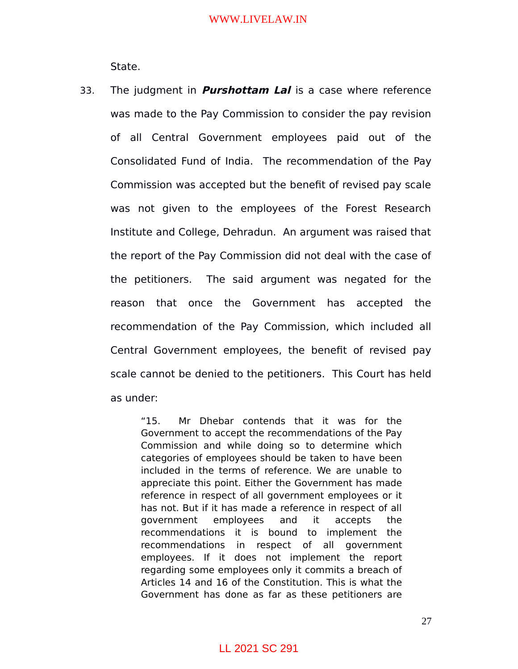State.

33. The judgment in **Purshottam Lal** is a case where reference was made to the Pay Commission to consider the pay revision of all Central Government employees paid out of the Consolidated Fund of India. The recommendation of the Pay Commission was accepted but the benefit of revised pay scale was not given to the employees of the Forest Research Institute and College, Dehradun. An argument was raised that the report of the Pay Commission did not deal with the case of the petitioners. The said argument was negated for the reason that once the Government has accepted the recommendation of the Pay Commission, which included all Central Government employees, the benefit of revised pay scale cannot be denied to the petitioners. This Court has held as under:

> "15. Mr Dhebar contends that it was for the Government to accept the recommendations of the Pay Commission and while doing so to determine which categories of employees should be taken to have been included in the terms of reference. We are unable to appreciate this point. Either the Government has made reference in respect of all government employees or it has not. But if it has made a reference in respect of all government employees and it accepts the recommendations it is bound to implement the recommendations in respect of all government employees. If it does not implement the report regarding some employees only it commits a breach of Articles 14 and 16 of the Constitution. This is what the Government has done as far as these petitioners are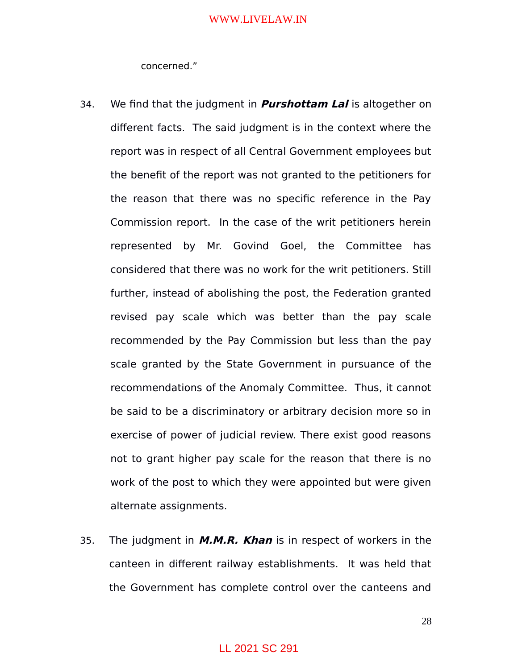concerned."

- 34. We find that the judgment in **Purshottam Lal** is altogether on different facts. The said judgment is in the context where the report was in respect of all Central Government employees but the benefit of the report was not granted to the petitioners for the reason that there was no specific reference in the Pay Commission report. In the case of the writ petitioners herein represented by Mr. Govind Goel, the Committee has considered that there was no work for the writ petitioners. Still further, instead of abolishing the post, the Federation granted revised pay scale which was better than the pay scale recommended by the Pay Commission but less than the pay scale granted by the State Government in pursuance of the recommendations of the Anomaly Committee. Thus, it cannot be said to be a discriminatory or arbitrary decision more so in exercise of power of judicial review. There exist good reasons not to grant higher pay scale for the reason that there is no work of the post to which they were appointed but were given alternate assignments.
- 35. The judgment in **M.M.R. Khan** is in respect of workers in the canteen in different railway establishments. It was held that the Government has complete control over the canteens and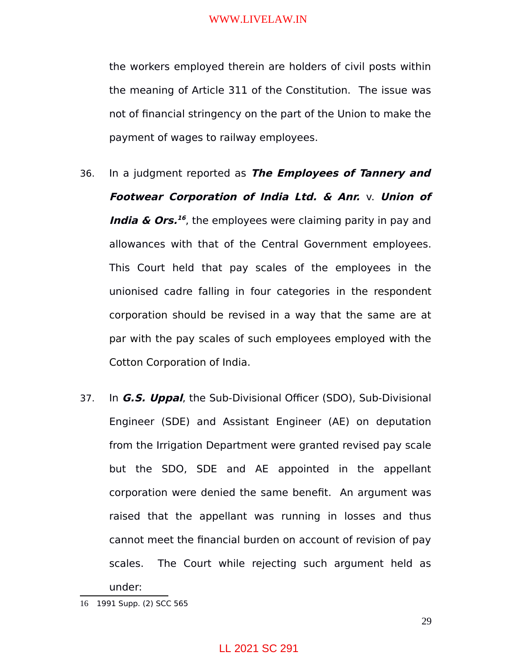the workers employed therein are holders of civil posts within the meaning of Article 311 of the Constitution. The issue was not of financial stringency on the part of the Union to make the payment of wages to railway employees.

- 36. In a judgment reported as **The Employees of Tannery and Footwear Corporation of India Ltd. & Anr.** v. **Union of India & Ors.**<sup>[16](#page-28-0)</sup>, the employees were claiming parity in pay and allowances with that of the Central Government employees. This Court held that pay scales of the employees in the unionised cadre falling in four categories in the respondent corporation should be revised in a way that the same are at par with the pay scales of such employees employed with the Cotton Corporation of India.
- 37. In **G.S. Uppal**, the Sub-Divisional Officer (SDO), Sub-Divisional Engineer (SDE) and Assistant Engineer (AE) on deputation from the Irrigation Department were granted revised pay scale but the SDO, SDE and AE appointed in the appellant corporation were denied the same benefit. An argument was raised that the appellant was running in losses and thus cannot meet the financial burden on account of revision of pay scales. The Court while rejecting such argument held as under:

<span id="page-28-0"></span><sup>16</sup> 1991 Supp. (2) SCC 565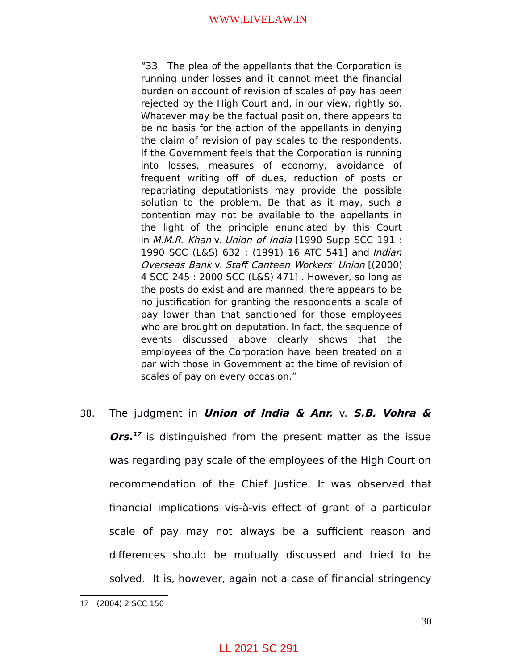"33. The plea of the appellants that the Corporation is running under losses and it cannot meet the financial burden on account of revision of scales of pay has been rejected by the High Court and, in our view, rightly so. Whatever may be the factual position, there appears to be no basis for the action of the appellants in denying the claim of revision of pay scales to the respondents. If the Government feels that the Corporation is running into losses, measures of economy, avoidance of frequent writing off of dues, reduction of posts or repatriating deputationists may provide the possible solution to the problem. Be that as it may, such a contention may not be available to the appellants in the light of the principle enunciated by this Court in M.M.R. Khan v. Union of India [1990 Supp SCC 191 : 1990 SCC (L&S) 632 : (1991) 16 ATC 541] and Indian Overseas Bank v. Staff Canteen Workers' Union [(2000) 4 SCC 245 : 2000 SCC (L&S) 471] . However, so long as the posts do exist and are manned, there appears to be no justification for granting the respondents a scale of pay lower than that sanctioned for those employees who are brought on deputation. In fact, the sequence of events discussed above clearly shows that the employees of the Corporation have been treated on a par with those in Government at the time of revision of scales of pay on every occasion."

# 38. The judgment in **Union of India & Anr.** v. **S.B. Vohra & Ors. [17](#page-29-0)** is distinguished from the present matter as the issue was regarding pay scale of the employees of the High Court on recommendation of the Chief Justice. It was observed that financial implications vis-à-vis effect of grant of a particular scale of pay may not always be a sufficient reason and differences should be mutually discussed and tried to be solved. It is, however, again not a case of financial stringency

<span id="page-29-0"></span><sup>17</sup> (2004) 2 SCC 150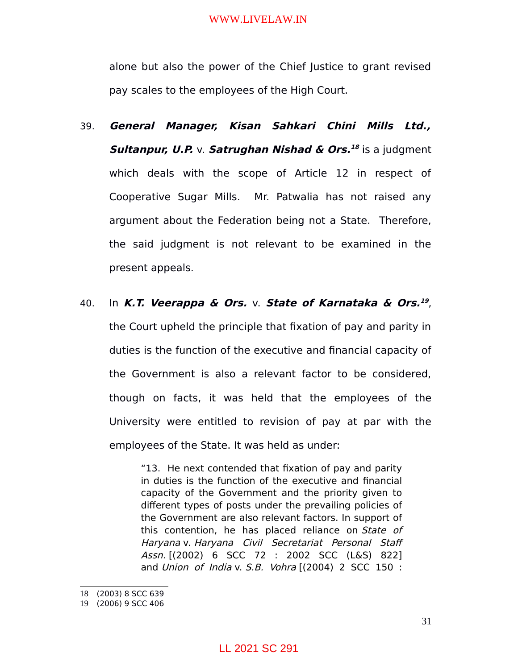alone but also the power of the Chief Justice to grant revised pay scales to the employees of the High Court.

39. **General Manager, Kisan Sahkari Chini Mills Ltd., Sultanpur, U.P.** v. **Satrughan Nishad & Ors. [18](#page-30-0)** is a judgment which deals with the scope of Article 12 in respect of Cooperative Sugar Mills. Mr. Patwalia has not raised any argument about the Federation being not a State. Therefore, the said judgment is not relevant to be examined in the present appeals.

## 40. In **K.T. Veerappa & Ors.** v. **State of Karnataka & Ors. [19](#page-30-1)** ,

the Court upheld the principle that fixation of pay and parity in duties is the function of the executive and financial capacity of the Government is also a relevant factor to be considered, though on facts, it was held that the employees of the University were entitled to revision of pay at par with the employees of the State. It was held as under:

> "13. He next contended that fixation of pay and parity in duties is the function of the executive and financial capacity of the Government and the priority given to different types of posts under the prevailing policies of the Government are also relevant factors. In support of this contention, he has placed reliance on State of Haryana v. Haryana Civil Secretariat Personal Staff Assn. [(2002) 6 SCC 72 : 2002 SCC (L&S) 822] and Union of India v. S.B. Vohra  $[(2004) 2$  SCC 150:

<span id="page-30-0"></span><sup>18</sup> (2003) 8 SCC 639

<span id="page-30-1"></span><sup>19</sup> (2006) 9 SCC 406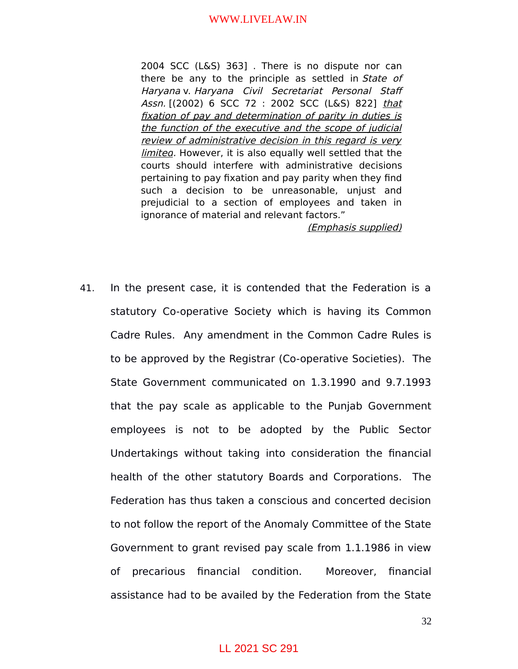2004 SCC (L&S) 363] . There is no dispute nor can there be any to the principle as settled in State of Haryana v. Haryana Civil Secretariat Personal Staff Assn. [(2002) 6 SCC 72 : 2002 SCC (L&S) 822] that fixation of pay and determination of parity in duties is the function of the executive and the scope of judicial review of administrative decision in this regard is very limited. However, it is also equally well settled that the courts should interfere with administrative decisions pertaining to pay fixation and pay parity when they find such a decision to be unreasonable, unjust and prejudicial to a section of employees and taken in ignorance of material and relevant factors."

(Emphasis supplied)

41. In the present case, it is contended that the Federation is a statutory Co-operative Society which is having its Common Cadre Rules. Any amendment in the Common Cadre Rules is to be approved by the Registrar (Co-operative Societies). The State Government communicated on 1.3.1990 and 9.7.1993 that the pay scale as applicable to the Punjab Government employees is not to be adopted by the Public Sector Undertakings without taking into consideration the financial health of the other statutory Boards and Corporations. The Federation has thus taken a conscious and concerted decision to not follow the report of the Anomaly Committee of the State Government to grant revised pay scale from 1.1.1986 in view of precarious financial condition. Moreover, financial assistance had to be availed by the Federation from the State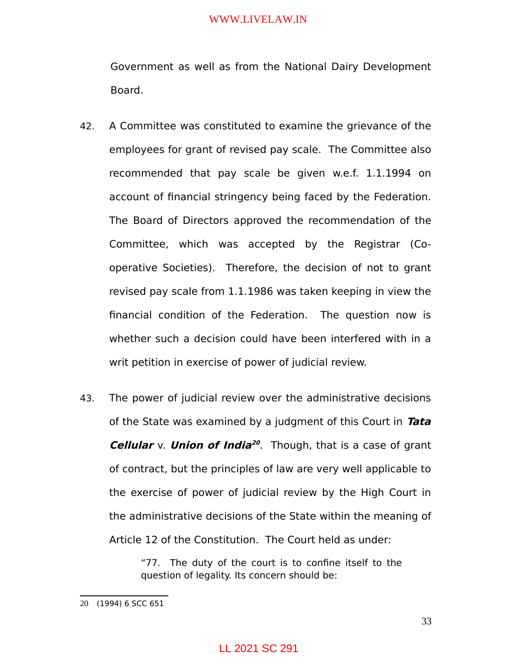Government as well as from the National Dairy Development Board.

- 42. A Committee was constituted to examine the grievance of the employees for grant of revised pay scale. The Committee also recommended that pay scale be given w.e.f. 1.1.1994 on account of financial stringency being faced by the Federation. The Board of Directors approved the recommendation of the Committee, which was accepted by the Registrar (Cooperative Societies). Therefore, the decision of not to grant revised pay scale from 1.1.1986 was taken keeping in view the financial condition of the Federation. The question now is whether such a decision could have been interfered with in a writ petition in exercise of power of judicial review.
- 43. The power of judicial review over the administrative decisions of the State was examined by a judgment of this Court in **Tata Cellular** v. **Union of India [20](#page-32-0)** . Though, that is a case of grant of contract, but the principles of law are very well applicable to the exercise of power of judicial review by the High Court in the administrative decisions of the State within the meaning of Article 12 of the Constitution. The Court held as under:

"77. The duty of the court is to confine itself to the question of legality. Its concern should be:

<span id="page-32-0"></span><sup>20</sup> (1994) 6 SCC 651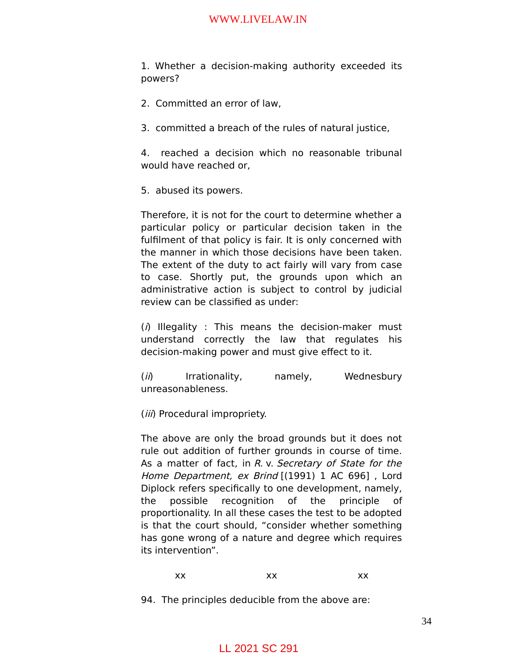1. Whether a decision-making authority exceeded its powers?

- 2. Committed an error of law,
- 3. committed a breach of the rules of natural justice,

4. reached a decision which no reasonable tribunal would have reached or,

5. abused its powers.

Therefore, it is not for the court to determine whether a particular policy or particular decision taken in the fulfilment of that policy is fair. It is only concerned with the manner in which those decisions have been taken. The extent of the duty to act fairly will vary from case to case. Shortly put, the grounds upon which an administrative action is subject to control by judicial review can be classified as under:

 $(i)$  Illegality : This means the decision-maker must understand correctly the law that regulates his decision-making power and must give effect to it.

(*ii*) Irrationality, namely, Wednesbury unreasonableness.

(iii) Procedural impropriety.

The above are only the broad grounds but it does not rule out addition of further grounds in course of time. As a matter of fact, in R. v. Secretary of State for the Home Department, ex Brind [(1991) 1 AC 696], Lord Diplock refers specifically to one development, namely, the possible recognition of the principle of proportionality. In all these cases the test to be adopted is that the court should, "consider whether something has gone wrong of a nature and degree which requires its intervention".

### xx xx xx

94. The principles deducible from the above are: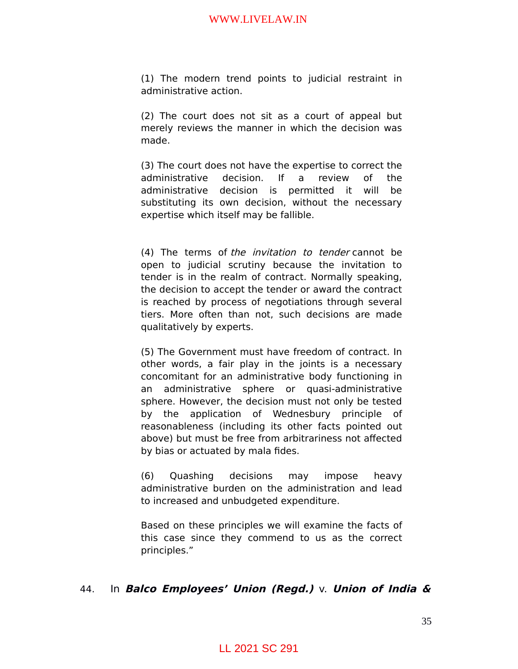(1) The modern trend points to judicial restraint in administrative action.

(2) The court does not sit as a court of appeal but merely reviews the manner in which the decision was made.

(3) The court does not have the expertise to correct the administrative decision. If a review of the administrative decision is permitted it will be substituting its own decision, without the necessary expertise which itself may be fallible.

(4) The terms of the invitation to tender cannot be open to judicial scrutiny because the invitation to tender is in the realm of contract. Normally speaking, the decision to accept the tender or award the contract is reached by process of negotiations through several tiers. More often than not, such decisions are made qualitatively by experts.

(5) The Government must have freedom of contract. In other words, a fair play in the joints is a necessary concomitant for an administrative body functioning in an administrative sphere or quasi-administrative sphere. However, the decision must not only be tested by the application of Wednesbury principle of reasonableness (including its other facts pointed out above) but must be free from arbitrariness not affected by bias or actuated by mala fides.

(6) Quashing decisions may impose heavy administrative burden on the administration and lead to increased and unbudgeted expenditure.

Based on these principles we will examine the facts of this case since they commend to us as the correct principles."

### 44. In **Balco Employees' Union (Regd.)** v. **Union of India &**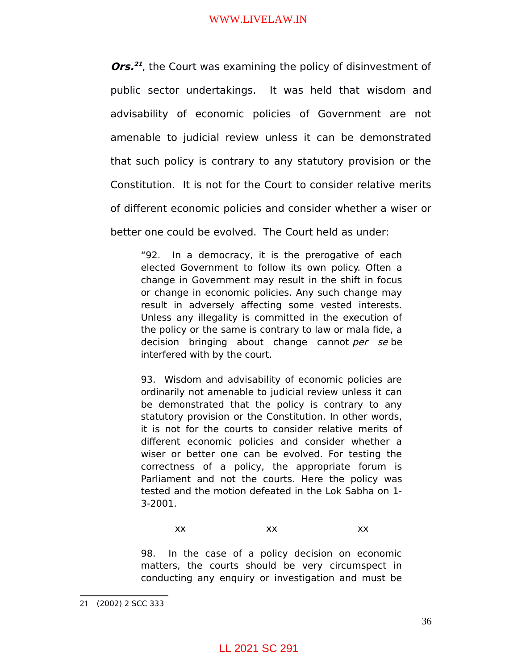**Ors.**<sup>[21](#page-35-0)</sup>, the Court was examining the policy of disinvestment of public sector undertakings. It was held that wisdom and advisability of economic policies of Government are not amenable to judicial review unless it can be demonstrated that such policy is contrary to any statutory provision or the Constitution. It is not for the Court to consider relative merits of different economic policies and consider whether a wiser or better one could be evolved. The Court held as under:

"92. In a democracy, it is the prerogative of each elected Government to follow its own policy. Often a change in Government may result in the shift in focus or change in economic policies. Any such change may result in adversely affecting some vested interests. Unless any illegality is committed in the execution of the policy or the same is contrary to law or mala fide, a decision bringing about change cannot per se be interfered with by the court.

93. Wisdom and advisability of economic policies are ordinarily not amenable to judicial review unless it can be demonstrated that the policy is contrary to any statutory provision or the Constitution. In other words, it is not for the courts to consider relative merits of different economic policies and consider whether a wiser or better one can be evolved. For testing the correctness of a policy, the appropriate forum is Parliament and not the courts. Here the policy was tested and the motion defeated in the Lok Sabha on 1- 3-2001.

### xx xx xx

98. In the case of a policy decision on economic matters, the courts should be very circumspect in conducting any enquiry or investigation and must be

<span id="page-35-0"></span><sup>21</sup> (2002) 2 SCC 333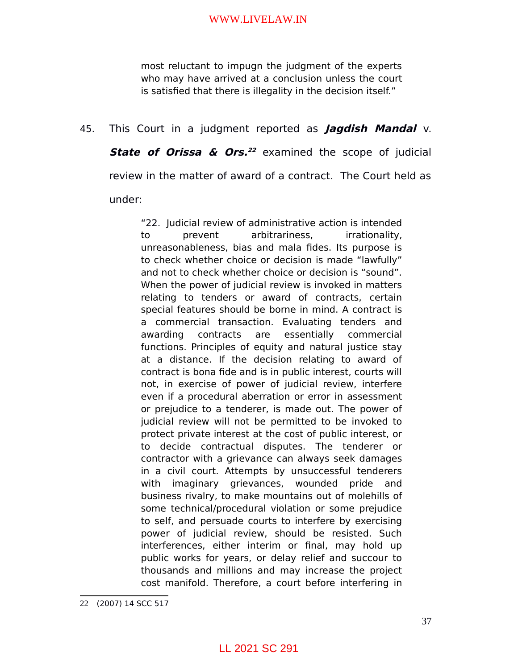most reluctant to impugn the judgment of the experts who may have arrived at a conclusion unless the court is satisfied that there is illegality in the decision itself."

# 45. This Court in a judgment reported as **Jagdish Mandal** v.

**State of Orissa & Ors. [22](#page-36-0)** examined the scope of judicial review in the matter of award of a contract. The Court held as under:

"22. Judicial review of administrative action is intended to prevent arbitrariness, irrationality, unreasonableness, bias and mala fides. Its purpose is to check whether choice or decision is made "lawfully" and not to check whether choice or decision is "sound". When the power of judicial review is invoked in matters relating to tenders or award of contracts, certain special features should be borne in mind. A contract is a commercial transaction. Evaluating tenders and awarding contracts are essentially commercial functions. Principles of equity and natural justice stay at a distance. If the decision relating to award of contract is bona fide and is in public interest, courts will not, in exercise of power of judicial review, interfere even if a procedural aberration or error in assessment or prejudice to a tenderer, is made out. The power of judicial review will not be permitted to be invoked to protect private interest at the cost of public interest, or to decide contractual disputes. The tenderer or contractor with a grievance can always seek damages in a civil court. Attempts by unsuccessful tenderers with imaginary grievances, wounded pride and business rivalry, to make mountains out of molehills of some technical/procedural violation or some prejudice to self, and persuade courts to interfere by exercising power of judicial review, should be resisted. Such interferences, either interim or final, may hold up public works for years, or delay relief and succour to thousands and millions and may increase the project cost manifold. Therefore, a court before interfering in

<span id="page-36-0"></span><sup>22</sup> (2007) 14 SCC 517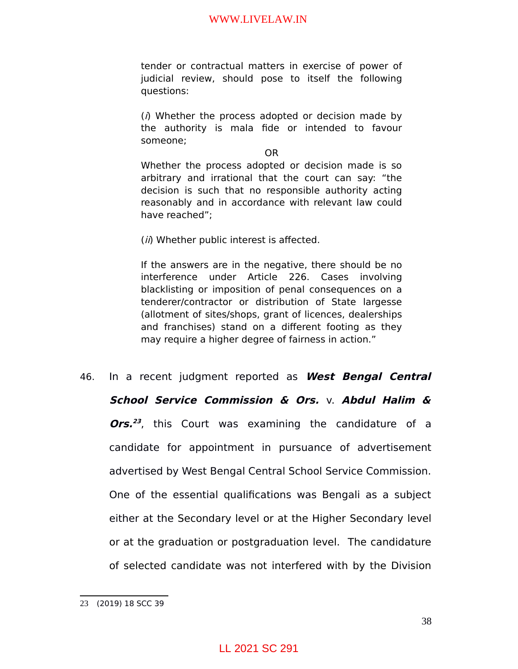tender or contractual matters in exercise of power of judicial review, should pose to itself the following questions:

 $(i)$  Whether the process adopted or decision made by the authority is mala fide or intended to favour someone;

OR

Whether the process adopted or decision made is so arbitrary and irrational that the court can say: "the decision is such that no responsible authority acting reasonably and in accordance with relevant law could have reached";

(*ii*) Whether public interest is affected.

If the answers are in the negative, there should be no interference under Article 226. Cases involving blacklisting or imposition of penal consequences on a tenderer/contractor or distribution of State largesse (allotment of sites/shops, grant of licences, dealerships and franchises) stand on a different footing as they may require a higher degree of fairness in action."

46. In a recent judgment reported as **West Bengal Central School Service Commission & Ors.** v. **Abdul Halim & Ors. [23](#page-37-0)** , this Court was examining the candidature of a candidate for appointment in pursuance of advertisement advertised by West Bengal Central School Service Commission. One of the essential qualifications was Bengali as a subject either at the Secondary level or at the Higher Secondary level or at the graduation or postgraduation level. The candidature of selected candidate was not interfered with by the Division

<span id="page-37-0"></span><sup>23</sup> (2019) 18 SCC 39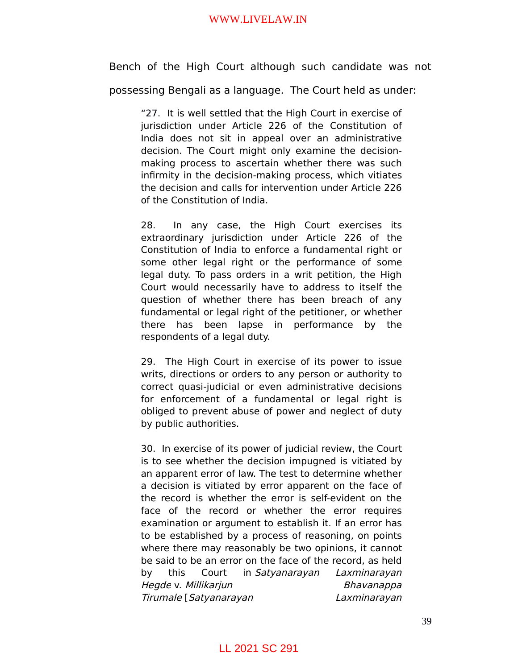Bench of the High Court although such candidate was not possessing Bengali as a language. The Court held as under:

"27. It is well settled that the High Court in exercise of jurisdiction under Article 226 of the Constitution of India does not sit in appeal over an administrative decision. The Court might only examine the decisionmaking process to ascertain whether there was such infirmity in the decision-making process, which vitiates the decision and calls for intervention under Article 226 of the Constitution of India.

28. In any case, the High Court exercises its extraordinary jurisdiction under Article 226 of the Constitution of India to enforce a fundamental right or some other legal right or the performance of some legal duty. To pass orders in a writ petition, the High Court would necessarily have to address to itself the question of whether there has been breach of any fundamental or legal right of the petitioner, or whether there has been lapse in performance by the respondents of a legal duty.

29. The High Court in exercise of its power to issue writs, directions or orders to any person or authority to correct quasi-judicial or even administrative decisions for enforcement of a fundamental or legal right is obliged to prevent abuse of power and neglect of duty by public authorities.

30. In exercise of its power of judicial review, the Court is to see whether the decision impugned is vitiated by an apparent error of law. The test to determine whether a decision is vitiated by error apparent on the face of the record is whether the error is self-evident on the face of the record or whether the error requires examination or argument to establish it. If an error has to be established by a process of reasoning, on points where there may reasonably be two opinions, it cannot be said to be an error on the face of the record, as held by this Court in Satyanarayan Laxminarayan Hegde v. Millikarjun Bhavanappa Tirumale [Satyanarayan Laxminarayan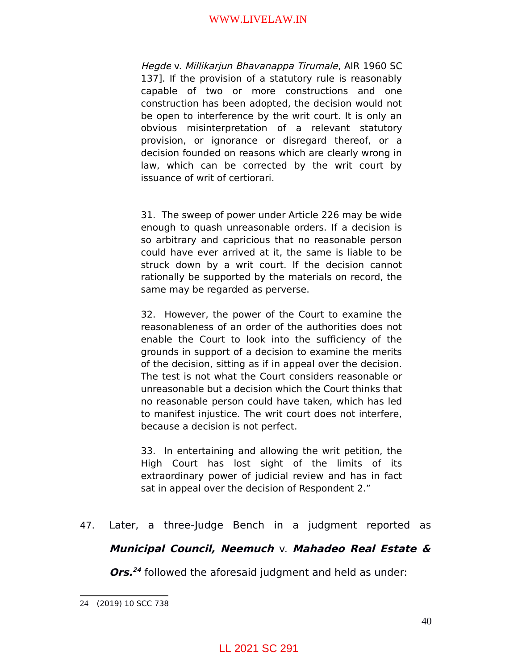Hegde v. Millikarjun Bhavanappa Tirumale, AIR 1960 SC 137]. If the provision of a statutory rule is reasonably capable of two or more constructions and one construction has been adopted, the decision would not be open to interference by the writ court. It is only an obvious misinterpretation of a relevant statutory provision, or ignorance or disregard thereof, or a decision founded on reasons which are clearly wrong in law, which can be corrected by the writ court by issuance of writ of certiorari.

31. The sweep of power under Article 226 may be wide enough to quash unreasonable orders. If a decision is so arbitrary and capricious that no reasonable person could have ever arrived at it, the same is liable to be struck down by a writ court. If the decision cannot rationally be supported by the materials on record, the same may be regarded as perverse.

32. However, the power of the Court to examine the reasonableness of an order of the authorities does not enable the Court to look into the sufficiency of the grounds in support of a decision to examine the merits of the decision, sitting as if in appeal over the decision. The test is not what the Court considers reasonable or unreasonable but a decision which the Court thinks that no reasonable person could have taken, which has led to manifest injustice. The writ court does not interfere, because a decision is not perfect.

33. In entertaining and allowing the writ petition, the High Court has lost sight of the limits of its extraordinary power of judicial review and has in fact sat in appeal over the decision of Respondent 2."

47. Later, a three-Judge Bench in a judgment reported as

## **Municipal Council, Neemuch** v. **Mahadeo Real Estate &**

**Ors. [24](#page-39-0)** followed the aforesaid judgment and held as under:

<span id="page-39-0"></span><sup>24</sup> (2019) 10 SCC 738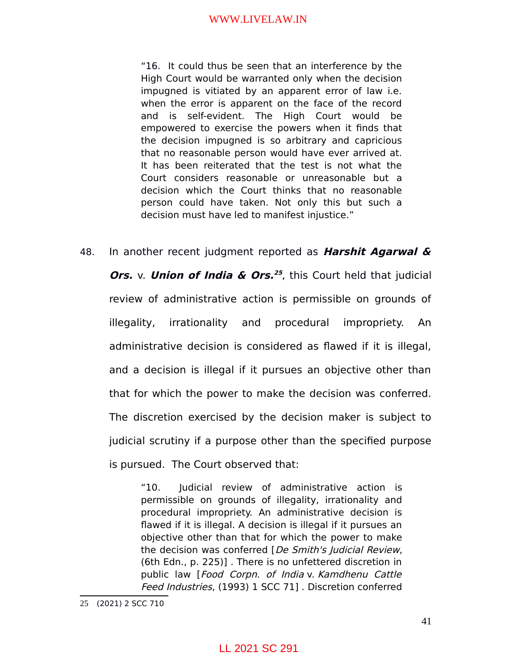"16. It could thus be seen that an interference by the High Court would be warranted only when the decision impugned is vitiated by an apparent error of law i.e. when the error is apparent on the face of the record and is self-evident. The High Court would be empowered to exercise the powers when it finds that the decision impugned is so arbitrary and capricious that no reasonable person would have ever arrived at. It has been reiterated that the test is not what the Court considers reasonable or unreasonable but a decision which the Court thinks that no reasonable person could have taken. Not only this but such a decision must have led to manifest injustice."

48. In another recent judgment reported as **Harshit Agarwal & Ors.** v. **Union of India & Ors.**<sup>[25](#page-40-0)</sup>, this Court held that judicial review of administrative action is permissible on grounds of illegality, irrationality and procedural impropriety. An administrative decision is considered as flawed if it is illegal, and a decision is illegal if it pursues an objective other than that for which the power to make the decision was conferred. The discretion exercised by the decision maker is subject to judicial scrutiny if a purpose other than the specified purpose is pursued. The Court observed that:

> "10. Judicial review of administrative action is permissible on grounds of illegality, irrationality and procedural impropriety. An administrative decision is flawed if it is illegal. A decision is illegal if it pursues an objective other than that for which the power to make the decision was conferred [De Smith's Judicial Review, (6th Edn., p. 225)] . There is no unfettered discretion in public law [Food Corpn. of India v. Kamdhenu Cattle Feed Industries, (1993) 1 SCC 71] . Discretion conferred

<span id="page-40-0"></span><sup>25</sup> (2021) 2 SCC 710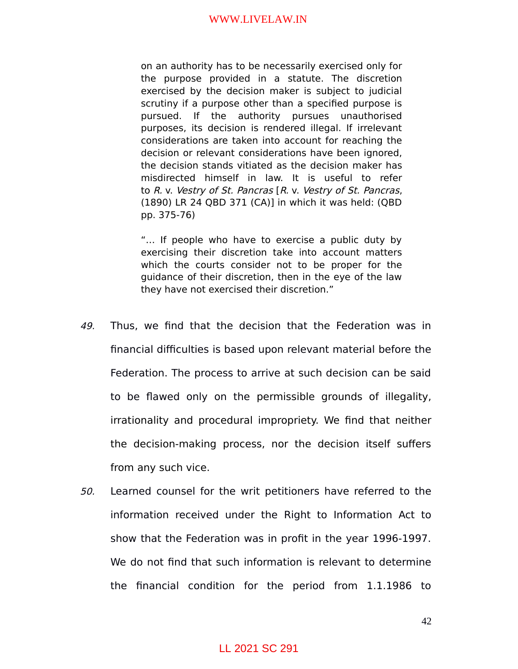on an authority has to be necessarily exercised only for the purpose provided in a statute. The discretion exercised by the decision maker is subject to judicial scrutiny if a purpose other than a specified purpose is pursued. If the authority pursues unauthorised purposes, its decision is rendered illegal. If irrelevant considerations are taken into account for reaching the decision or relevant considerations have been ignored, the decision stands vitiated as the decision maker has misdirected himself in law. It is useful to refer to R. v. Vestry of St. Pancras [R. v. Vestry of St. Pancras, (1890) LR 24 QBD 371 (CA)] in which it was held: (QBD pp. 375-76)

"… If people who have to exercise a public duty by exercising their discretion take into account matters which the courts consider not to be proper for the guidance of their discretion, then in the eye of the law they have not exercised their discretion."

- 49. Thus, we find that the decision that the Federation was in financial difficulties is based upon relevant material before the Federation. The process to arrive at such decision can be said to be flawed only on the permissible grounds of illegality, irrationality and procedural impropriety. We find that neither the decision-making process, nor the decision itself suffers from any such vice.
- 50. Learned counsel for the writ petitioners have referred to the information received under the Right to Information Act to show that the Federation was in profit in the year 1996-1997. We do not find that such information is relevant to determine the financial condition for the period from 1.1.1986 to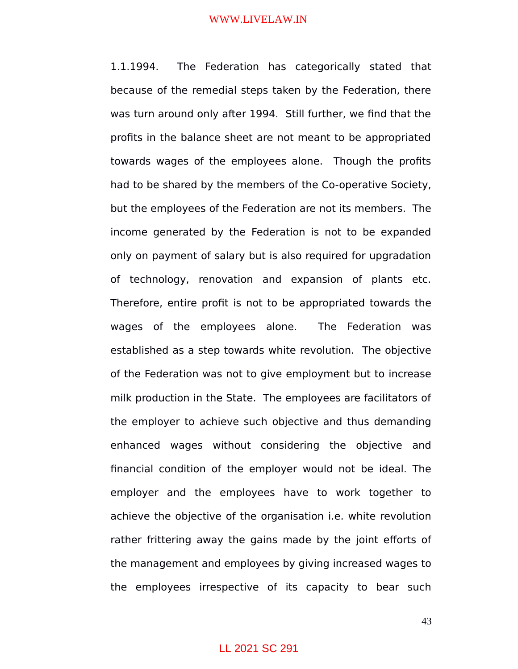1.1.1994. The Federation has categorically stated that because of the remedial steps taken by the Federation, there was turn around only after 1994. Still further, we find that the profits in the balance sheet are not meant to be appropriated towards wages of the employees alone. Though the profits had to be shared by the members of the Co-operative Society, but the employees of the Federation are not its members. The income generated by the Federation is not to be expanded only on payment of salary but is also required for upgradation of technology, renovation and expansion of plants etc. Therefore, entire profit is not to be appropriated towards the wages of the employees alone. The Federation was established as a step towards white revolution. The objective of the Federation was not to give employment but to increase milk production in the State. The employees are facilitators of the employer to achieve such objective and thus demanding enhanced wages without considering the objective and financial condition of the employer would not be ideal. The employer and the employees have to work together to achieve the objective of the organisation i.e. white revolution rather frittering away the gains made by the joint efforts of the management and employees by giving increased wages to the employees irrespective of its capacity to bear such

### LL 2021 SC 291

43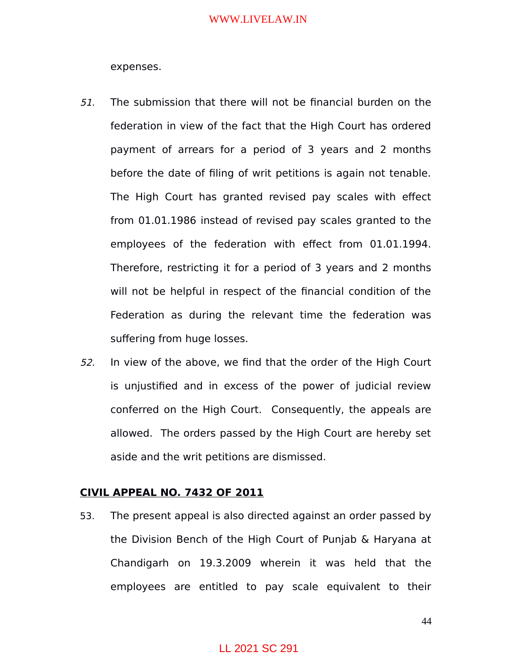expenses.

- 51. The submission that there will not be financial burden on the federation in view of the fact that the High Court has ordered payment of arrears for a period of 3 years and 2 months before the date of filing of writ petitions is again not tenable. The High Court has granted revised pay scales with effect from 01.01.1986 instead of revised pay scales granted to the employees of the federation with effect from 01.01.1994. Therefore, restricting it for a period of 3 years and 2 months will not be helpful in respect of the financial condition of the Federation as during the relevant time the federation was suffering from huge losses.
- 52. In view of the above, we find that the order of the High Court is unjustified and in excess of the power of judicial review conferred on the High Court. Consequently, the appeals are allowed. The orders passed by the High Court are hereby set aside and the writ petitions are dismissed.

### **CIVIL APPEAL NO. 7432 OF 2011**

53. The present appeal is also directed against an order passed by the Division Bench of the High Court of Punjab & Haryana at Chandigarh on 19.3.2009 wherein it was held that the employees are entitled to pay scale equivalent to their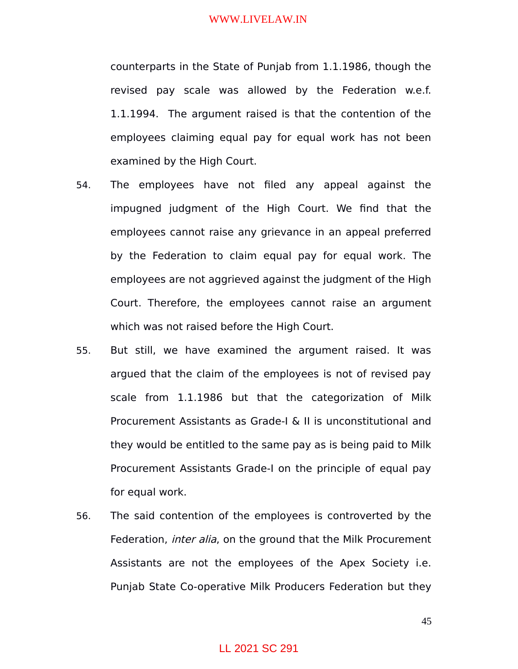counterparts in the State of Punjab from 1.1.1986, though the revised pay scale was allowed by the Federation w.e.f. 1.1.1994. The argument raised is that the contention of the employees claiming equal pay for equal work has not been examined by the High Court.

- 54. The employees have not filed any appeal against the impugned judgment of the High Court. We find that the employees cannot raise any grievance in an appeal preferred by the Federation to claim equal pay for equal work. The employees are not aggrieved against the judgment of the High Court. Therefore, the employees cannot raise an argument which was not raised before the High Court.
- 55. But still, we have examined the argument raised. It was argued that the claim of the employees is not of revised pay scale from 1.1.1986 but that the categorization of Milk Procurement Assistants as Grade-I & II is unconstitutional and they would be entitled to the same pay as is being paid to Milk Procurement Assistants Grade-I on the principle of equal pay for equal work.
- 56. The said contention of the employees is controverted by the Federation, *inter alia*, on the ground that the Milk Procurement Assistants are not the employees of the Apex Society i.e. Punjab State Co-operative Milk Producers Federation but they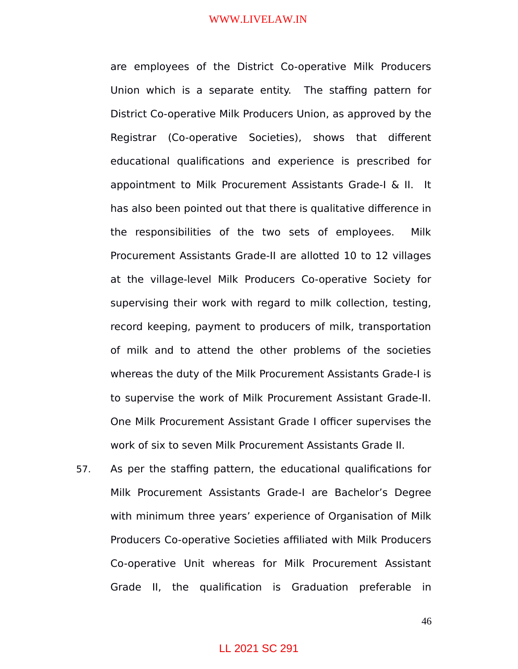are employees of the District Co-operative Milk Producers Union which is a separate entity. The staffing pattern for District Co-operative Milk Producers Union, as approved by the Registrar (Co-operative Societies), shows that different educational qualifications and experience is prescribed for appointment to Milk Procurement Assistants Grade-I & II. It has also been pointed out that there is qualitative difference in the responsibilities of the two sets of employees. Milk Procurement Assistants Grade-II are allotted 10 to 12 villages at the village-level Milk Producers Co-operative Society for supervising their work with regard to milk collection, testing, record keeping, payment to producers of milk, transportation of milk and to attend the other problems of the societies whereas the duty of the Milk Procurement Assistants Grade-I is to supervise the work of Milk Procurement Assistant Grade-II. One Milk Procurement Assistant Grade I officer supervises the work of six to seven Milk Procurement Assistants Grade II.

57. As per the staffing pattern, the educational qualifications for Milk Procurement Assistants Grade-I are Bachelor's Degree with minimum three years' experience of Organisation of Milk Producers Co-operative Societies affiliated with Milk Producers Co-operative Unit whereas for Milk Procurement Assistant Grade II, the qualification is Graduation preferable in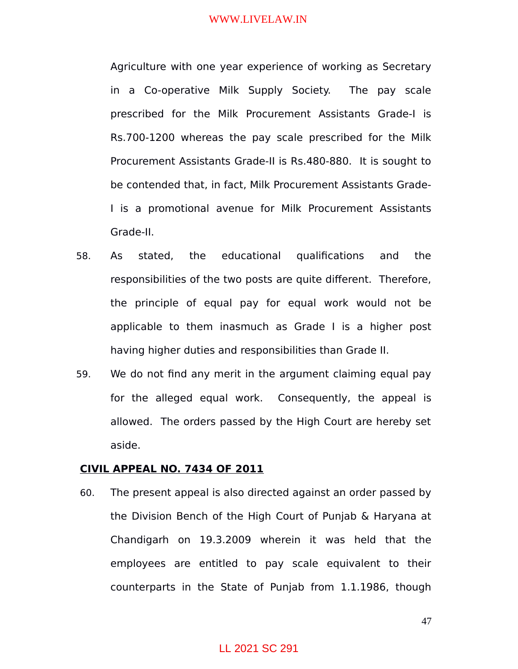Agriculture with one year experience of working as Secretary in a Co-operative Milk Supply Society. The pay scale prescribed for the Milk Procurement Assistants Grade-I is Rs.700-1200 whereas the pay scale prescribed for the Milk Procurement Assistants Grade-II is Rs.480-880. It is sought to be contended that, in fact, Milk Procurement Assistants Grade-I is a promotional avenue for Milk Procurement Assistants Grade-II.

- 58. As stated, the educational qualifications and the responsibilities of the two posts are quite different. Therefore, the principle of equal pay for equal work would not be applicable to them inasmuch as Grade I is a higher post having higher duties and responsibilities than Grade II.
- 59. We do not find any merit in the argument claiming equal pay for the alleged equal work. Consequently, the appeal is allowed. The orders passed by the High Court are hereby set aside.

### **CIVIL APPEAL NO. 7434 OF 2011**

60. The present appeal is also directed against an order passed by the Division Bench of the High Court of Punjab & Haryana at Chandigarh on 19.3.2009 wherein it was held that the employees are entitled to pay scale equivalent to their counterparts in the State of Punjab from 1.1.1986, though

47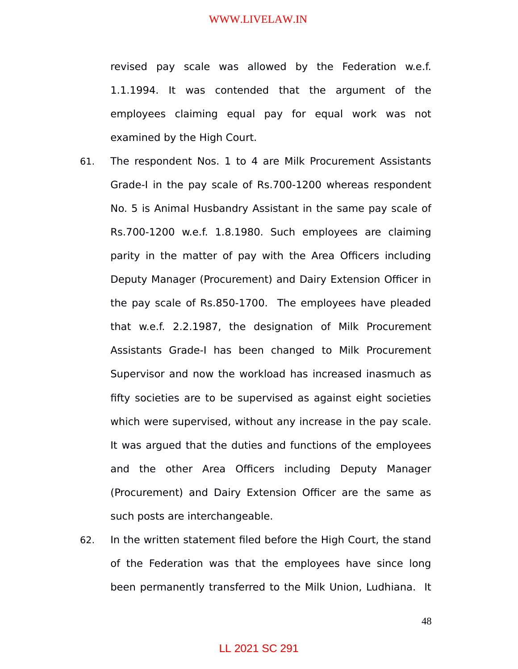revised pay scale was allowed by the Federation w.e.f. 1.1.1994. It was contended that the argument of the employees claiming equal pay for equal work was not examined by the High Court.

- 61. The respondent Nos. 1 to 4 are Milk Procurement Assistants Grade-I in the pay scale of Rs.700-1200 whereas respondent No. 5 is Animal Husbandry Assistant in the same pay scale of Rs.700-1200 w.e.f. 1.8.1980. Such employees are claiming parity in the matter of pay with the Area Officers including Deputy Manager (Procurement) and Dairy Extension Officer in the pay scale of Rs.850-1700. The employees have pleaded that w.e.f. 2.2.1987, the designation of Milk Procurement Assistants Grade-I has been changed to Milk Procurement Supervisor and now the workload has increased inasmuch as fifty societies are to be supervised as against eight societies which were supervised, without any increase in the pay scale. It was argued that the duties and functions of the employees and the other Area Officers including Deputy Manager (Procurement) and Dairy Extension Officer are the same as such posts are interchangeable.
- 62. In the written statement filed before the High Court, the stand of the Federation was that the employees have since long been permanently transferred to the Milk Union, Ludhiana. It

## LL 2021 SC 291

48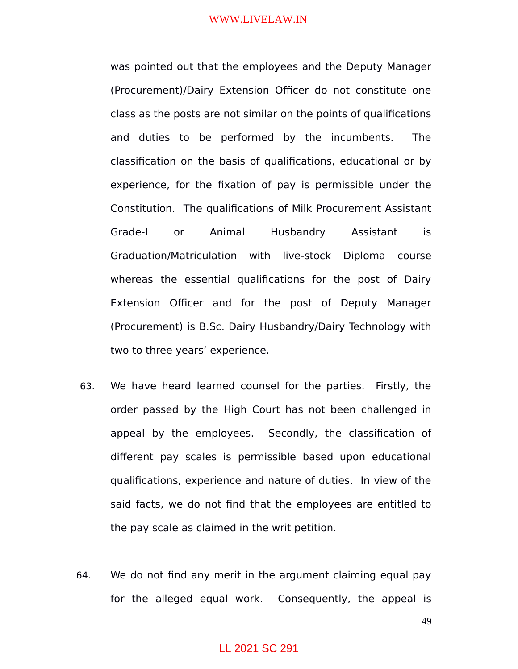was pointed out that the employees and the Deputy Manager (Procurement)/Dairy Extension Officer do not constitute one class as the posts are not similar on the points of qualifications and duties to be performed by the incumbents. The classification on the basis of qualifications, educational or by experience, for the fixation of pay is permissible under the Constitution. The qualifications of Milk Procurement Assistant Grade-I or Animal Husbandry Assistant is Graduation/Matriculation with live-stock Diploma course whereas the essential qualifications for the post of Dairy Extension Officer and for the post of Deputy Manager (Procurement) is B.Sc. Dairy Husbandry/Dairy Technology with two to three years' experience.

- 63. We have heard learned counsel for the parties. Firstly, the order passed by the High Court has not been challenged in appeal by the employees. Secondly, the classification of different pay scales is permissible based upon educational qualifications, experience and nature of duties. In view of the said facts, we do not find that the employees are entitled to the pay scale as claimed in the writ petition.
- 64. We do not find any merit in the argument claiming equal pay for the alleged equal work. Consequently, the appeal is

49